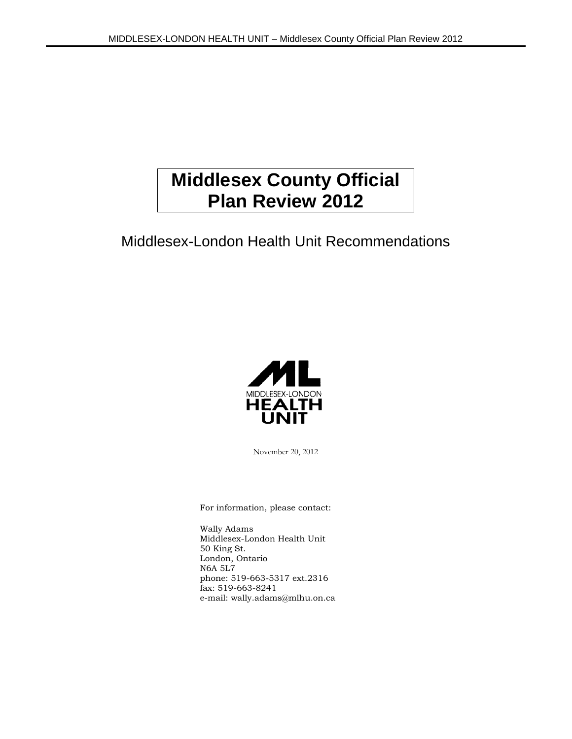# **Middlesex County Official Plan Review 2012**

## Middlesex-London Health Unit Recommendations



November 20, 2012

For information, please contact:

Wally Adams Middlesex-London Health Unit 50 King St. London, Ontario N6A 5L7 phone: 519-663-5317 ext.2316 fax: 519-663-8241 e-mail: wally.adams@mlhu.on.ca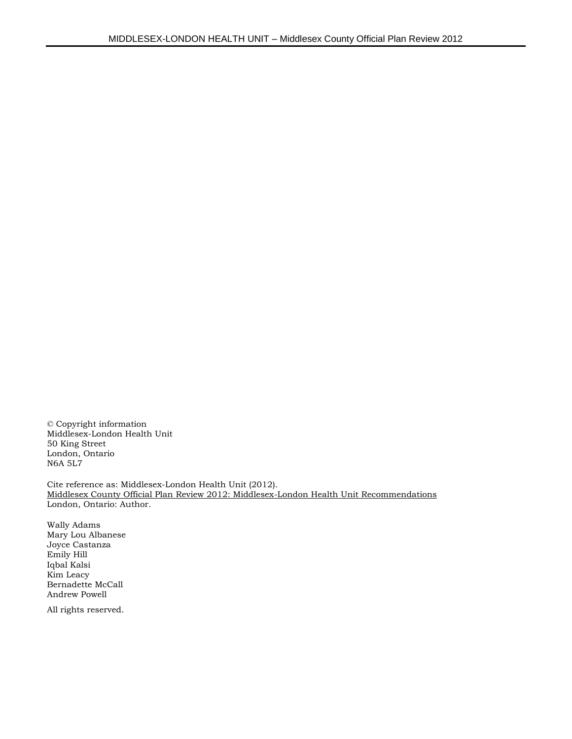© Copyright information Middlesex-London Health Unit 50 King Street London, Ontario N6A 5L7

Cite reference as: Middlesex-London Health Unit (2012). Middlesex County Official Plan Review 2012: Middlesex-London Health Unit Recommendations London, Ontario: Author.

Wally Adams Mary Lou Albanese Joyce Castanza Emily Hill Iqbal Kalsi Kim Leacy Bernadette McCall Andrew Powell

All rights reserved.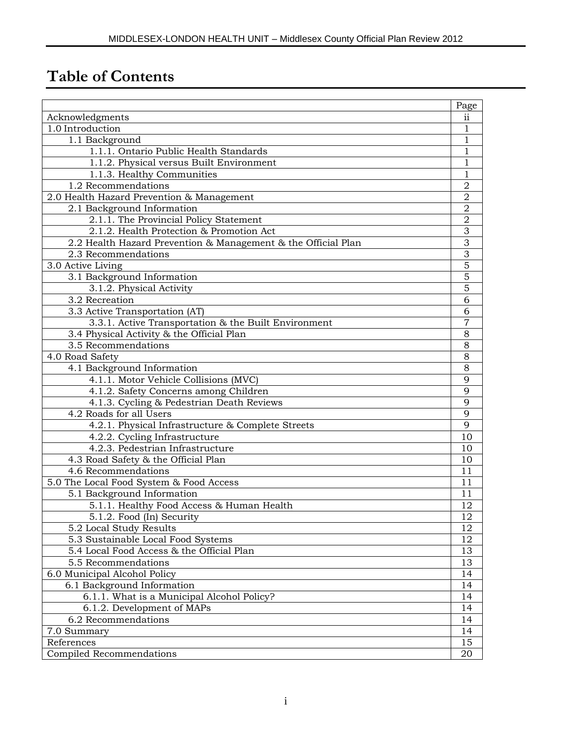# **Table of Contents**

|                                                               | Page           |
|---------------------------------------------------------------|----------------|
| Acknowledgments                                               | ii             |
| 1.0 Introduction                                              | $\mathbf{1}$   |
| 1.1 Background                                                | 1              |
| 1.1.1. Ontario Public Health Standards                        | 1              |
| 1.1.2. Physical versus Built Environment                      | 1              |
| 1.1.3. Healthy Communities                                    | 1              |
| 1.2 Recommendations                                           | $\overline{2}$ |
| 2.0 Health Hazard Prevention & Management                     | $\mathbf 2$    |
| 2.1 Background Information                                    | $\overline{2}$ |
| 2.1.1. The Provincial Policy Statement                        | $\overline{2}$ |
| 2.1.2. Health Protection & Promotion Act                      | 3              |
| 2.2 Health Hazard Prevention & Management & the Official Plan | 3              |
| 2.3 Recommendations                                           | $\overline{3}$ |
| 3.0 Active Living                                             | $\overline{5}$ |
| 3.1 Background Information                                    | $\overline{5}$ |
| 3.1.2. Physical Activity                                      | $\overline{5}$ |
| 3.2 Recreation                                                | 6              |
| 3.3 Active Transportation (AT)                                | 6              |
| 3.3.1. Active Transportation & the Built Environment          | 7              |
| 3.4 Physical Activity & the Official Plan                     | 8              |
| 3.5 Recommendations                                           | $\overline{8}$ |
| 4.0 Road Safety                                               | 8              |
| 4.1 Background Information                                    | 8              |
| 4.1.1. Motor Vehicle Collisions (MVC)                         | 9              |
| 4.1.2. Safety Concerns among Children                         | 9              |
| 4.1.3. Cycling & Pedestrian Death Reviews                     | 9              |
| 4.2 Roads for all Users                                       | $\overline{9}$ |
| 4.2.1. Physical Infrastructure & Complete Streets             | 9              |
| 4.2.2. Cycling Infrastructure                                 | 10             |
| 4.2.3. Pedestrian Infrastructure                              | 10             |
| 4.3 Road Safety & the Official Plan                           | 10             |
| 4.6 Recommendations                                           | 11             |
| 5.0 The Local Food System & Food Access                       | 11             |
| 5.1 Background Information                                    | 11             |
| 5.1.1. Healthy Food Access & Human Health                     | 12             |
| 5.1.2. Food (In) Security                                     | 12             |
| 5.2 Local Study Results                                       | 12             |
| 5.3 Sustainable Local Food Systems                            | 12             |
| 5.4 Local Food Access & the Official Plan                     | 13             |
| 5.5 Recommendations                                           | 13             |
| 6.0 Municipal Alcohol Policy                                  | 14             |
| 6.1 Background Information                                    | 14             |
| 6.1.1. What is a Municipal Alcohol Policy?                    | 14             |
| 6.1.2. Development of MAPs                                    | 14             |
| 6.2 Recommendations                                           | 14             |
| 7.0 Summary                                                   | 14             |
| References                                                    | 15             |
| Compiled Recommendations                                      | 20             |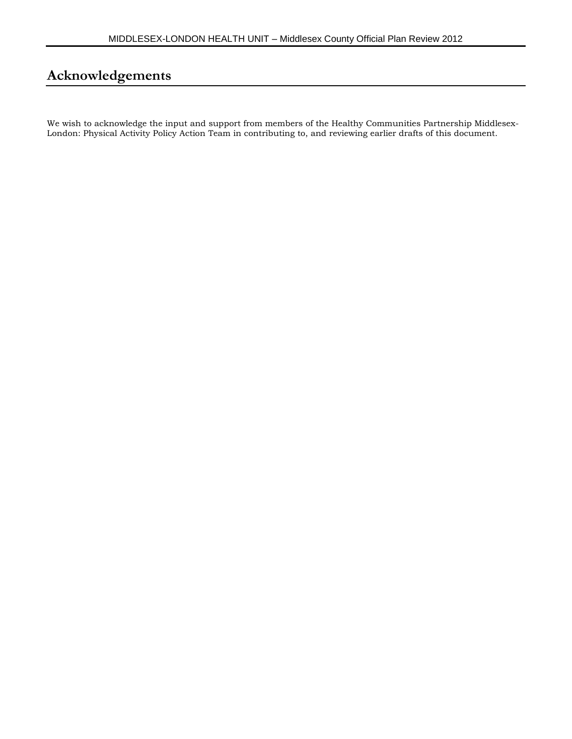## **Acknowledgements**

We wish to acknowledge the input and support from members of the Healthy Communities Partnership Middlesex-London: Physical Activity Policy Action Team in contributing to, and reviewing earlier drafts of this document.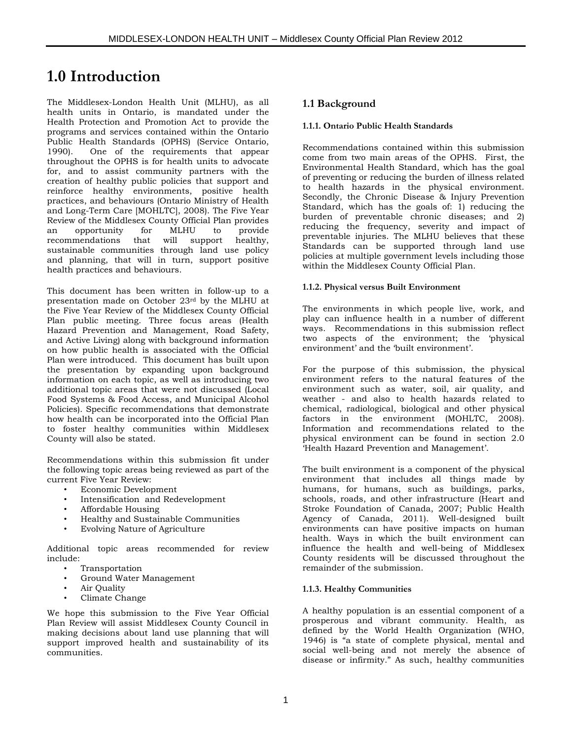## **1.0 Introduction**

The Middlesex-London Health Unit (MLHU), as all health units in Ontario, is mandated under the Health Protection and Promotion Act to provide the programs and services contained within the Ontario Public Health Standards (OPHS) (Service Ontario, 1990). One of the requirements that appear throughout the OPHS is for health units to advocate for, and to assist community partners with the creation of healthy public policies that support and reinforce healthy environments, positive health practices, and behaviours (Ontario Ministry of Health and Long-Term Care [MOHLTC], 2008). The Five Year Review of the Middlesex County Official Plan provides<br>an opportunity for MLHU to provide an opportunity for MLHU to provide recommendations that will support healthy, sustainable communities through land use policy and planning, that will in turn, support positive health practices and behaviours.

This document has been written in follow-up to a presentation made on October 23rd by the MLHU at the Five Year Review of the Middlesex County Official Plan public meeting. Three focus areas (Health Hazard Prevention and Management, Road Safety, and Active Living) along with background information on how public health is associated with the Official Plan were introduced. This document has built upon the presentation by expanding upon background information on each topic, as well as introducing two additional topic areas that were not discussed (Local Food Systems & Food Access, and Municipal Alcohol Policies). Specific recommendations that demonstrate how health can be incorporated into the Official Plan to foster healthy communities within Middlesex County will also be stated.

Recommendations within this submission fit under the following topic areas being reviewed as part of the current Five Year Review:

- Economic Development
- Intensification and Redevelopment
- Affordable Housing
- Healthy and Sustainable Communities
- Evolving Nature of Agriculture

Additional topic areas recommended for review include:

- Transportation
- Ground Water Management
- Air Quality
- Climate Change

We hope this submission to the Five Year Official Plan Review will assist Middlesex County Council in making decisions about land use planning that will support improved health and sustainability of its communities.

## **1.1 Background**

#### **1.1.1. Ontario Public Health Standards**

Recommendations contained within this submission come from two main areas of the OPHS. First, the Environmental Health Standard, which has the goal of preventing or reducing the burden of illness related to health hazards in the physical environment. Secondly, the Chronic Disease & Injury Prevention Standard, which has the goals of: 1) reducing the burden of preventable chronic diseases; and 2) reducing the frequency, severity and impact of preventable injuries. The MLHU believes that these Standards can be supported through land use policies at multiple government levels including those within the Middlesex County Official Plan.

#### **1.1.2. Physical versus Built Environment**

The environments in which people live, work, and play can influence health in a number of different ways. Recommendations in this submission reflect two aspects of the environment; the 'physical environment' and the 'built environment'.

For the purpose of this submission, the physical environment refers to the natural features of the environment such as water, soil, air quality, and weather - and also to health hazards related to chemical, radiological, biological and other physical factors in the environment (MOHLTC, 2008). Information and recommendations related to the physical environment can be found in section 2.0 'Health Hazard Prevention and Management'.

The built environment is a component of the physical environment that includes all things made by humans, for humans, such as buildings, parks, schools, roads, and other infrastructure (Heart and Stroke Foundation of Canada, 2007; Public Health Agency of Canada, 2011). Well-designed built environments can have positive impacts on human health. Ways in which the built environment can influence the health and well-being of Middlesex County residents will be discussed throughout the remainder of the submission.

#### **1.1.3. Healthy Communities**

A healthy population is an essential component of a prosperous and vibrant community. Health, as defined by the World Health Organization (WHO, 1946) is "a state of complete physical, mental and social well-being and not merely the absence of disease or infirmity." As such, healthy communities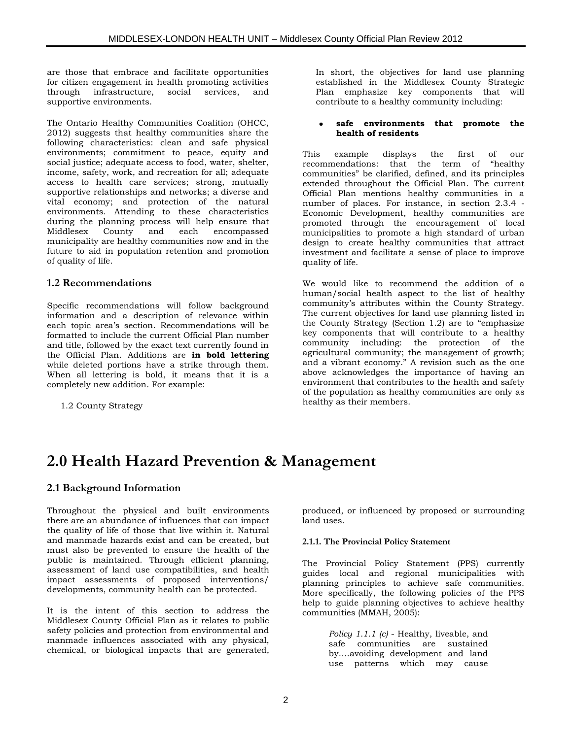are those that embrace and facilitate opportunities for citizen engagement in health promoting activities<br>through infrastructure, social services, and through infrastructure, social services, and supportive environments.

The Ontario Healthy Communities Coalition (OHCC, 2012) suggests that healthy communities share the following characteristics: clean and safe physical environments; commitment to peace, equity and social justice; adequate access to food, water, shelter, income, safety, work, and recreation for all; adequate access to health care services; strong, mutually supportive relationships and networks; a diverse and vital economy; and protection of the natural environments. Attending to these characteristics during the planning process will help ensure that Middlesex County and each encompassed municipality are healthy communities now and in the future to aid in population retention and promotion of quality of life.

## **1.2 Recommendations**

Specific recommendations will follow background information and a description of relevance within each topic area's section. Recommendations will be formatted to include the current Official Plan number and title, followed by the exact text currently found in the Official Plan. Additions are **in bold lettering** while deleted portions have a strike through them. When all lettering is bold, it means that it is a completely new addition. For example:

1.2 County Strategy

In short, the objectives for land use planning established in the Middlesex County Strategic Plan emphasize key components that will contribute to a healthy community including:

#### **safe environments that promote the**   $\bullet$ **health of residents**

This example displays the first of our recommendations: that the term of "healthy communities" be clarified, defined, and its principles extended throughout the Official Plan. The current Official Plan mentions healthy communities in a number of places. For instance, in section 2.3.4 - Economic Development, healthy communities are promoted through the encouragement of local municipalities to promote a high standard of urban design to create healthy communities that attract investment and facilitate a sense of place to improve quality of life.

We would like to recommend the addition of a human/social health aspect to the list of healthy community's attributes within the County Strategy. The current objectives for land use planning listed in the County Strategy (Section 1.2) are to "emphasize key components that will contribute to a healthy community including: the protection of the agricultural community; the management of growth; and a vibrant economy." A revision such as the one above acknowledges the importance of having an environment that contributes to the health and safety of the population as healthy communities are only as healthy as their members.

## **2.0 Health Hazard Prevention & Management**

## **2.1 Background Information**

Throughout the physical and built environments there are an abundance of influences that can impact the quality of life of those that live within it. Natural and manmade hazards exist and can be created, but must also be prevented to ensure the health of the public is maintained. Through efficient planning, assessment of land use compatibilities, and health impact assessments of proposed interventions/ developments, community health can be protected.

It is the intent of this section to address the Middlesex County Official Plan as it relates to public safety policies and protection from environmental and manmade influences associated with any physical, chemical, or biological impacts that are generated,

produced, or influenced by proposed or surrounding land uses.

## **2.1.1. The Provincial Policy Statement**

The Provincial Policy Statement (PPS) currently guides local and regional municipalities with planning principles to achieve safe communities. More specifically, the following policies of the PPS help to guide planning objectives to achieve healthy communities (MMAH, 2005):

> *Policy 1.1.1 (c)* - Healthy, liveable, and safe communities are sustained by….avoiding development and land use patterns which may cause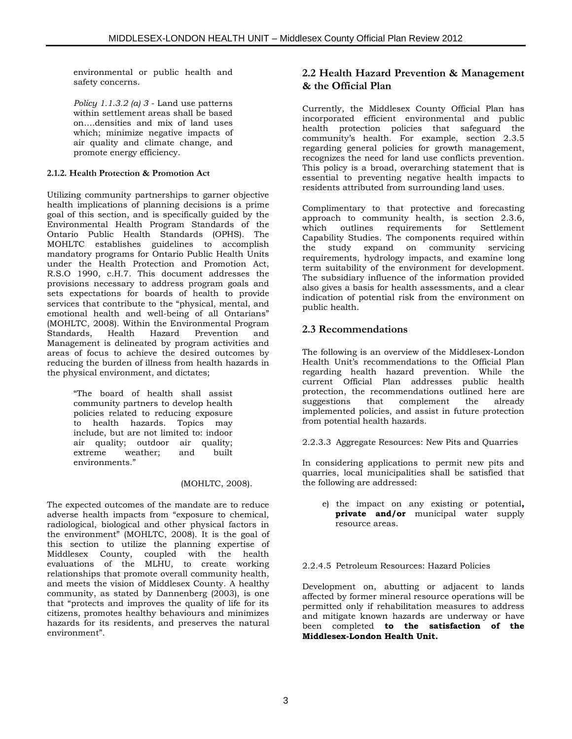environmental or public health and safety concerns.

*Policy 1.1.3.2 (a) 3* - Land use patterns within settlement areas shall be based on….densities and mix of land uses which; minimize negative impacts of air quality and climate change, and promote energy efficiency.

## **2.1.2. Health Protection & Promotion Act**

Utilizing community partnerships to garner objective health implications of planning decisions is a prime goal of this section, and is specifically guided by the Environmental Health Program Standards of the Ontario Public Health Standards (OPHS). The MOHLTC establishes guidelines to accomplish mandatory programs for Ontario Public Health Units under the Health Protection and Promotion Act, R.S.O 1990, c.H.7. This document addresses the provisions necessary to address program goals and sets expectations for boards of health to provide services that contribute to the "physical, mental, and emotional health and well-being of all Ontarians" (MOHLTC, 2008). Within the Environmental Program Standards, Health Hazard Prevention and Management is delineated by program activities and areas of focus to achieve the desired outcomes by reducing the burden of illness from health hazards in the physical environment, and dictates;

> "The board of health shall assist community partners to develop health policies related to reducing exposure to health hazards. Topics may include, but are not limited to: indoor air quality; outdoor air quality;<br>extreme weather; and built extreme weather; and built environments."

> > (MOHLTC, 2008).

The expected outcomes of the mandate are to reduce adverse health impacts from "exposure to chemical, radiological, biological and other physical factors in the environment" (MOHLTC, 2008). It is the goal of this section to utilize the planning expertise of Middlesex County, coupled with the health evaluations of the MLHU, to create working relationships that promote overall community health, and meets the vision of Middlesex County. A healthy community, as stated by Dannenberg (2003), is one that "protects and improves the quality of life for its citizens, promotes healthy behaviours and minimizes hazards for its residents, and preserves the natural environment".

## **2.2 Health Hazard Prevention & Management & the Official Plan**

Currently, the Middlesex County Official Plan has incorporated efficient environmental and public health protection policies that safeguard the community's health. For example, section 2.3.5 regarding general policies for growth management, recognizes the need for land use conflicts prevention. This policy is a broad, overarching statement that is essential to preventing negative health impacts to residents attributed from surrounding land uses.

Complimentary to that protective and forecasting approach to community health, is section 2.3.6, which outlines requirements for Settlement Capability Studies. The components required within the study expand on community servicing requirements, hydrology impacts, and examine long term suitability of the environment for development. The subsidiary influence of the information provided also gives a basis for health assessments, and a clear indication of potential risk from the environment on public health.

## **2.3 Recommendations**

The following is an overview of the Middlesex-London Health Unit's recommendations to the Official Plan regarding health hazard prevention. While the current Official Plan addresses public health protection, the recommendations outlined here are suggestions that complement the already implemented policies, and assist in future protection from potential health hazards.

2.2.3.3 Aggregate Resources: New Pits and Quarries

In considering applications to permit new pits and quarries, local municipalities shall be satisfied that the following are addressed:

e) the impact on any existing or potential**, private and/or** municipal water supply -<br>resource areas.

## 2.2.4.5 Petroleum Resources: Hazard Policies

Development on, abutting or adjacent to lands affected by former mineral resource operations will be permitted only if rehabilitation measures to address and mitigate known hazards are underway or have been completed **to the satisfaction of the Middlesex-London Health Unit.**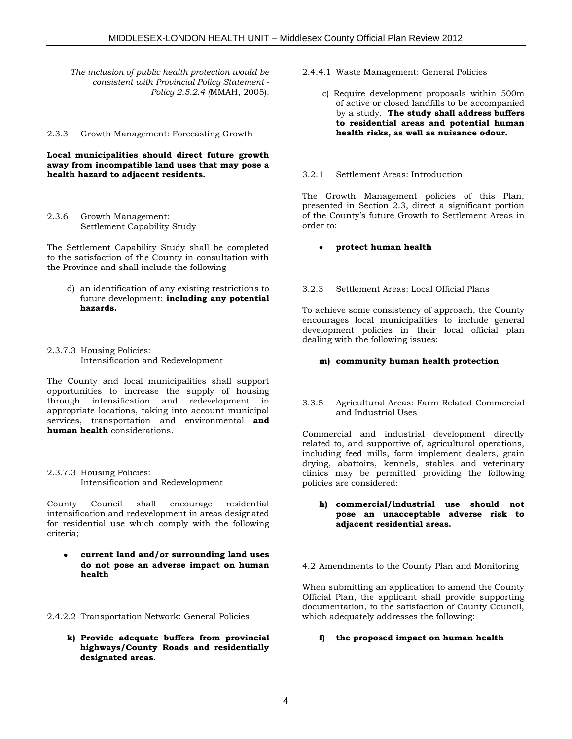*The inclusion of public health protection would be consistent with Provincial Policy Statement - Policy 2.5.2.4 (*MMAH, 2005)*.*

2.3.3 Growth Management: Forecasting Growth

#### **Local municipalities should direct future growth away from incompatible land uses that may pose a health hazard to adjacent residents.**

2.3.6 Growth Management: Settlement Capability Study

The Settlement Capability Study shall be completed to the satisfaction of the County in consultation with the Province and shall include the following

- d) an identification of any existing restrictions to future development; **including any potential hazards.**
- 2.3.7.3 Housing Policies: Intensification and Redevelopment

The County and local municipalities shall support opportunities to increase the supply of housing through intensification and redevelopment in appropriate locations, taking into account municipal services, transportation and environmental **and human health** considerations.

2.3.7.3 Housing Policies: Intensification and Redevelopment

County Council shall encourage residential intensification and redevelopment in areas designated for residential use which comply with the following criteria;

**current land and/or surrounding land uses do not pose an adverse impact on human health**

2.4.2.2 Transportation Network: General Policies

**k) Provide adequate buffers from provincial highways/County Roads and residentially designated areas.**

- 2.4.4.1 Waste Management: General Policies
	- c) Require development proposals within 500m of active or closed landfills to be accompanied by a study. **The study shall address buffers to residential areas and potential human health risks, as well as nuisance odour.**

#### 3.2.1 Settlement Areas: Introduction

The Growth Management policies of this Plan, presented in Section 2.3, direct a significant portion of the County's future Growth to Settlement Areas in order to:

**protect human health**

### 3.2.3 Settlement Areas: Local Official Plans

To achieve some consistency of approach, the County encourages local municipalities to include general development policies in their local official plan dealing with the following issues:

#### **m) community human health protection**

#### 3.3.5 Agricultural Areas: Farm Related Commercial and Industrial Uses

Commercial and industrial development directly related to, and supportive of, agricultural operations, including feed mills, farm implement dealers, grain drying, abattoirs, kennels, stables and veterinary clinics may be permitted providing the following policies are considered:

#### **h) commercial/industrial use should not pose an unacceptable adverse risk to adjacent residential areas.**

4.2 Amendments to the County Plan and Monitoring

When submitting an application to amend the County Official Plan, the applicant shall provide supporting documentation, to the satisfaction of County Council, which adequately addresses the following:

### **f) the proposed impact on human health**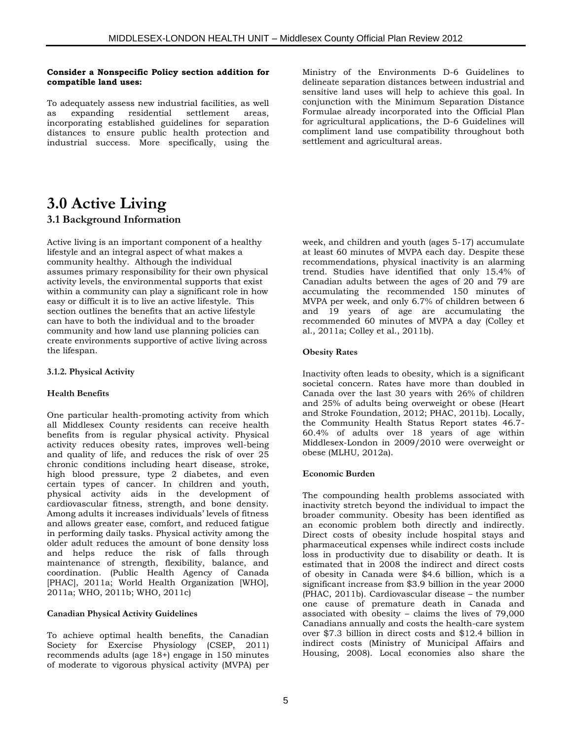#### **Consider a Nonspecific Policy section addition for compatible land uses:**

To adequately assess new industrial facilities, as well as expanding residential settlement areas, incorporating established guidelines for separation distances to ensure public health protection and industrial success. More specifically, using the

Ministry of the Environments D-6 Guidelines to delineate separation distances between industrial and sensitive land uses will help to achieve this goal. In conjunction with the Minimum Separation Distance Formulae already incorporated into the Official Plan for agricultural applications, the D-6 Guidelines will compliment land use compatibility throughout both settlement and agricultural areas.

## **3.0 Active Living 3.1 Background Information**

Active living is an important component of a healthy lifestyle and an integral aspect of what makes a community healthy. Although the individual assumes primary responsibility for their own physical activity levels, the environmental supports that exist within a community can play a significant role in how easy or difficult it is to live an active lifestyle. This section outlines the benefits that an active lifestyle can have to both the individual and to the broader community and how land use planning policies can create environments supportive of active living across the lifespan.

#### **3.1.2. Physical Activity**

### **Health Benefits**

One particular health-promoting activity from which all Middlesex County residents can receive health benefits from is regular physical activity. Physical activity reduces obesity rates, improves well-being and quality of life, and reduces the risk of over 25 chronic conditions including heart disease, stroke, high blood pressure, type 2 diabetes, and even certain types of cancer. In children and youth, physical activity aids in the development of cardiovascular fitness, strength, and bone density. Among adults it increases individuals' levels of fitness and allows greater ease, comfort, and reduced fatigue in performing daily tasks. Physical activity among the older adult reduces the amount of bone density loss and helps reduce the risk of falls through maintenance of strength, flexibility, balance, and coordination. (Public Health Agency of Canada [PHAC], 2011a; World Health Organization [WHO], 2011a; WHO, 2011b; WHO, 2011c)

### **Canadian Physical Activity Guidelines**

To achieve optimal health benefits, the Canadian Society for Exercise Physiology (CSEP, 2011) recommends adults (age 18+) engage in 150 minutes of moderate to vigorous physical activity (MVPA) per week, and children and youth (ages 5-17) accumulate at least 60 minutes of MVPA each day. Despite these recommendations, physical inactivity is an alarming trend. Studies have identified that only 15.4% of Canadian adults between the ages of 20 and 79 are accumulating the recommended 150 minutes of MVPA per week, and only 6.7% of children between 6 and 19 years of age are accumulating the recommended 60 minutes of MVPA a day (Colley et al., 2011a; Colley et al., 2011b).

#### **Obesity Rates**

Inactivity often leads to obesity, which is a significant societal concern. Rates have more than doubled in Canada over the last 30 years with 26% of children and 25% of adults being overweight or obese (Heart and Stroke Foundation, 2012; PHAC, 2011b). Locally, the Community Health Status Report states 46.7- 60.4% of adults over 18 years of age within Middlesex-London in 2009/2010 were overweight or obese (MLHU, 2012a).

#### **Economic Burden**

The compounding health problems associated with inactivity stretch beyond the individual to impact the broader community. Obesity has been identified as an economic problem both directly and indirectly. Direct costs of obesity include hospital stays and pharmaceutical expenses while indirect costs include loss in productivity due to disability or death. It is estimated that in 2008 the indirect and direct costs of obesity in Canada were \$4.6 billion, which is a significant increase from \$3.9 billion in the year 2000 (PHAC, 2011b). Cardiovascular disease – the number one cause of premature death in Canada and associated with obesity – claims the lives of 79,000 Canadians annually and costs the health-care system over \$7.3 billion in direct costs and \$12.4 billion in indirect costs (Ministry of Municipal Affairs and Housing, 2008). Local economies also share the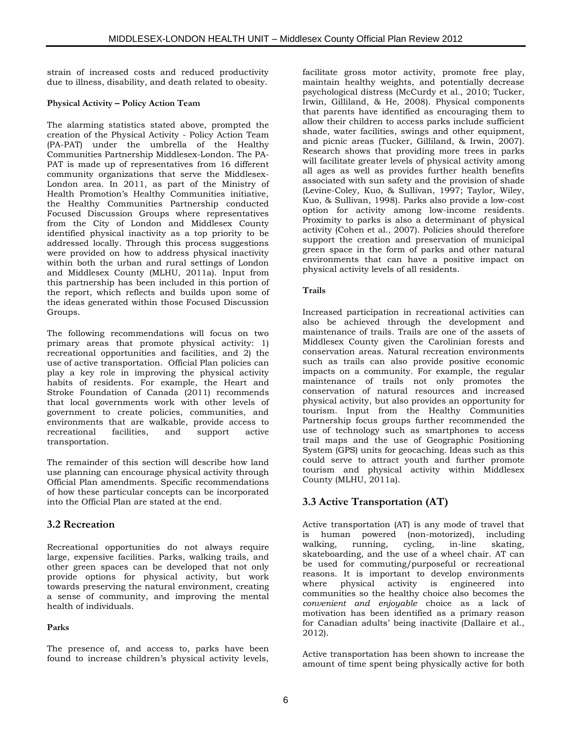strain of increased costs and reduced productivity due to illness, disability, and death related to obesity.

## **Physical Activity – Policy Action Team**

The alarming statistics stated above, prompted the creation of the Physical Activity - Policy Action Team (PA-PAT) under the umbrella of the Healthy Communities Partnership Middlesex-London. The PA-PAT is made up of representatives from 16 different community organizations that serve the Middlesex-London area. In 2011, as part of the Ministry of Health Promotion's Healthy Communities initiative, the Healthy Communities Partnership conducted Focused Discussion Groups where representatives from the City of London and Middlesex County identified physical inactivity as a top priority to be addressed locally. Through this process suggestions were provided on how to address physical inactivity within both the urban and rural settings of London and Middlesex County (MLHU, 2011a). Input from this partnership has been included in this portion of the report, which reflects and builds upon some of the ideas generated within those Focused Discussion Groups.

The following recommendations will focus on two primary areas that promote physical activity: 1) recreational opportunities and facilities, and 2) the use of active transportation. Official Plan policies can play a key role in improving the physical activity habits of residents. For example, the Heart and Stroke Foundation of Canada (2011) recommends that local governments work with other levels of government to create policies, communities, and environments that are walkable, provide access to recreational facilities, and support active transportation.

The remainder of this section will describe how land use planning can encourage physical activity through Official Plan amendments. Specific recommendations of how these particular concepts can be incorporated into the Official Plan are stated at the end.

## **3.2 Recreation**

Recreational opportunities do not always require large, expensive facilities. Parks, walking trails, and other green spaces can be developed that not only provide options for physical activity, but work towards preserving the natural environment, creating a sense of community, and improving the mental health of individuals.

## **Parks**

The presence of, and access to, parks have been found to increase children's physical activity levels, facilitate gross motor activity, promote free play, maintain healthy weights, and potentially decrease psychological distress (McCurdy et al., 2010; Tucker, Irwin, Gilliland, & He, 2008). Physical components that parents have identified as encouraging them to allow their children to access parks include sufficient shade, water facilities, swings and other equipment, and picnic areas (Tucker, Gilliland, & Irwin, 2007). Research shows that providing more trees in parks will facilitate greater levels of physical activity among all ages as well as provides further health benefits associated with sun safety and the provision of shade (Levine-Coley, Kuo, & Sullivan, 1997; Taylor, Wiley, Kuo, & Sullivan, 1998). Parks also provide a low-cost option for activity among low-income residents. Proximity to parks is also a determinant of physical activity (Cohen et al., 2007). Policies should therefore support the creation and preservation of municipal green space in the form of parks and other natural environments that can have a positive impact on physical activity levels of all residents.

### **Trails**

Increased participation in recreational activities can also be achieved through the development and maintenance of trails. Trails are one of the assets of Middlesex County given the Carolinian forests and conservation areas. Natural recreation environments such as trails can also provide positive economic impacts on a community. For example, the regular maintenance of trails not only promotes the conservation of natural resources and increased physical activity, but also provides an opportunity for tourism. Input from the Healthy Communities Partnership focus groups further recommended the use of technology such as smartphones to access trail maps and the use of Geographic Positioning System (GPS) units for geocaching. Ideas such as this could serve to attract youth and further promote tourism and physical activity within Middlesex County (MLHU, 2011a).

## **3.3 Active Transportation (AT)**

Active transportation (AT) is any mode of travel that is human powered (non-motorized), including walking, running, cycling, in-line skating, skateboarding, and the use of a wheel chair. AT can be used for commuting/purposeful or recreational reasons. It is important to develop environments where physical activity is engineered into communities so the healthy choice also becomes the *convenient and enjoyable* choice as a lack of motivation has been identified as a primary reason for Canadian adults' being inactivite (Dallaire et al., 2012).

Active transportation has been shown to increase the amount of time spent being physically active for both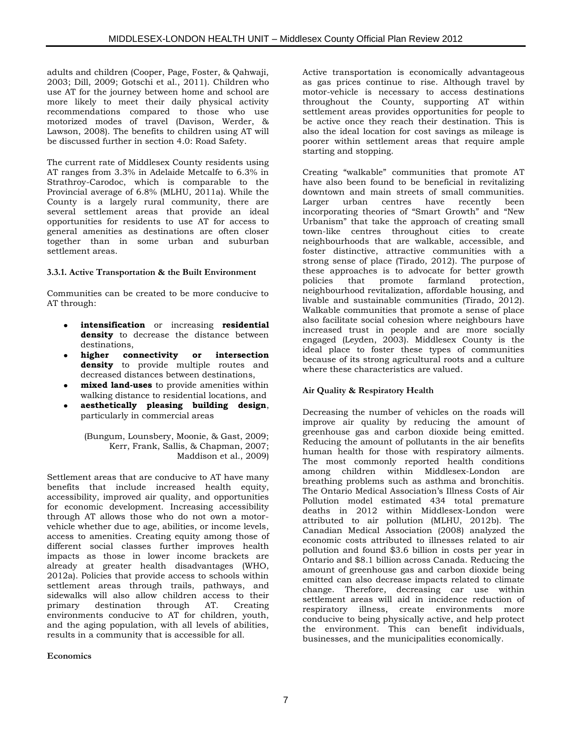adults and children (Cooper, Page, Foster, & Qahwaji, 2003; Dill, 2009; Gotschi et al., 2011). Children who use AT for the journey between home and school are more likely to meet their daily physical activity recommendations compared to those who use motorized modes of travel (Davison, Werder, & Lawson, 2008). The benefits to children using AT will be discussed further in section 4.0: Road Safety.

The current rate of Middlesex County residents using AT ranges from 3.3% in Adelaide Metcalfe to 6.3% in Strathroy-Carodoc, which is comparable to the Provincial average of 6.8% (MLHU, 2011a). While the County is a largely rural community, there are several settlement areas that provide an ideal opportunities for residents to use AT for access to general amenities as destinations are often closer together than in some urban and suburban settlement areas.

### **3.3.1. Active Transportation & the Built Environment**

Communities can be created to be more conducive to AT through:

- **intensification** or increasing **residential density** to decrease the distance between destinations,
- **higher connectivity or intersection density** to provide multiple routes and decreased distances between destinations,
- **mixed land-uses** to provide amenities within walking distance to residential locations, and
- **aesthetically pleasing building design**, particularly in commercial areas

(Bungum, Lounsbery, Moonie, & Gast, 2009; Kerr, Frank, Sallis, & Chapman, 2007; Maddison et al., 2009)

Settlement areas that are conducive to AT have many benefits that include increased health equity, accessibility, improved air quality, and opportunities for economic development. Increasing accessibility through AT allows those who do not own a motorvehicle whether due to age, abilities, or income levels, access to amenities. Creating equity among those of different social classes further improves health impacts as those in lower income brackets are already at greater health disadvantages (WHO, 2012a). Policies that provide access to schools within settlement areas through trails, pathways, and sidewalks will also allow children access to their primary destination through AT. Creating environments conducive to AT for children, youth, and the aging population, with all levels of abilities, results in a community that is accessible for all.

**Economics**

Active transportation is economically advantageous as gas prices continue to rise. Although travel by motor-vehicle is necessary to access destinations throughout the County, supporting AT within settlement areas provides opportunities for people to be active once they reach their destination. This is also the ideal location for cost savings as mileage is poorer within settlement areas that require ample starting and stopping.

Creating "walkable" communities that promote AT have also been found to be beneficial in revitalizing downtown and main streets of small communities. Larger urban centres have recently been incorporating theories of "Smart Growth" and "New Urbanism" that take the approach of creating small town-like centres throughout cities to create neighbourhoods that are walkable, accessible, and foster distinctive, attractive communities with a strong sense of place (Tirado, 2012). The purpose of these approaches is to advocate for better growth policies that promote farmland protection, neighbourhood revitalization, affordable housing, and livable and sustainable communities (Tirado, 2012). Walkable communities that promote a sense of place also facilitate social cohesion where neighbours have increased trust in people and are more socially engaged (Leyden, 2003). Middlesex County is the ideal place to foster these types of communities because of its strong agricultural roots and a culture where these characteristics are valued.

### **Air Quality & Respiratory Health**

Decreasing the number of vehicles on the roads will improve air quality by reducing the amount of greenhouse gas and carbon dioxide being emitted. Reducing the amount of pollutants in the air benefits human health for those with respiratory ailments. The most commonly reported health conditions among children within Middlesex-London are breathing problems such as asthma and bronchitis. The Ontario Medical Association's Illness Costs of Air Pollution model estimated 434 total premature deaths in 2012 within Middlesex-London were attributed to air pollution (MLHU, 2012b). The Canadian Medical Association (2008) analyzed the economic costs attributed to illnesses related to air pollution and found \$3.6 billion in costs per year in Ontario and \$8.1 billion across Canada. Reducing the amount of greenhouse gas and carbon dioxide being emitted can also decrease impacts related to climate change. Therefore, decreasing car use within settlement areas will aid in incidence reduction of respiratory illness, create environments more conducive to being physically active, and help protect the environment. This can benefit individuals, businesses, and the municipalities economically.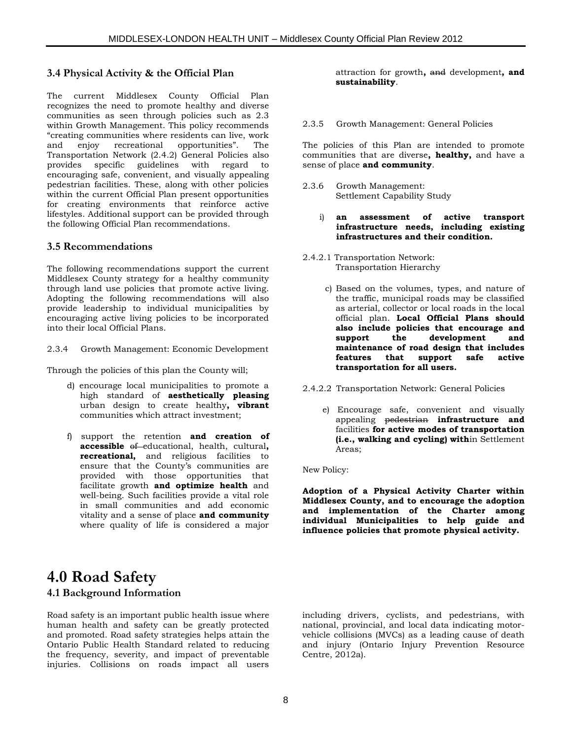### **3.4 Physical Activity & the Official Plan**

The current Middlesex County Official Plan recognizes the need to promote healthy and diverse communities as seen through policies such as 2.3 within Growth Management. This policy recommends "creating communities where residents can live, work and enjoy recreational opportunities". The Transportation Network (2.4.2) General Policies also provides specific guidelines with regard to encouraging safe, convenient, and visually appealing pedestrian facilities. These, along with other policies within the current Official Plan present opportunities for creating environments that reinforce active lifestyles. Additional support can be provided through the following Official Plan recommendations.

### **3.5 Recommendations**

The following recommendations support the current Middlesex County strategy for a healthy community through land use policies that promote active living. Adopting the following recommendations will also provide leadership to individual municipalities by encouraging active living policies to be incorporated into their local Official Plans.

2.3.4 Growth Management: Economic Development

Through the policies of this plan the County will;

- d) encourage local municipalities to promote a high standard of **aesthetically pleasing** urban design to create healthy**, vibrant** communities which attract investment;
- f) support the retention **and creation of accessible** of educational, health, cultural**, recreational,** and religious facilities to ensure that the County's communities are provided with those opportunities that facilitate growth **and optimize health** and well-being. Such facilities provide a vital role in small communities and add economic vitality and a sense of place **and community**  where quality of life is considered a major

attraction for growth**,** and development**, and sustainability**.

2.3.5 Growth Management: General Policies

The policies of this Plan are intended to promote communities that are diverse**, healthy,** and have a sense of place **and community**.

- 2.3.6 Growth Management: Settlement Capability Study
	- i) **an assessment of active transport infrastructure needs, including existing infrastructures and their condition.**
- 2.4.2.1 Transportation Network: Transportation Hierarchy
	- c) Based on the volumes, types, and nature of the traffic, municipal roads may be classified as arterial, collector or local roads in the local official plan. **Local Official Plans should also include policies that encourage and support the development and maintenance of road design that includes features that support safe active transportation for all users.**

2.4.2.2 Transportation Network: General Policies

e) Encourage safe, convenient and visually appealing pedestrian **infrastructure and**  facilities **for active modes of transportation (i.e., walking and cycling) with**in Settlement Areas;

New Policy:

**Adoption of a Physical Activity Charter within Middlesex County, and to encourage the adoption and implementation of the Charter among individual Municipalities to help guide and influence policies that promote physical activity.**

## **4.0 Road Safety 4.1 Background Information**

Road safety is an important public health issue where human health and safety can be greatly protected and promoted. Road safety strategies helps attain the Ontario Public Health Standard related to reducing the frequency, severity, and impact of preventable injuries. Collisions on roads impact all users

including drivers, cyclists, and pedestrians, with national, provincial, and local data indicating motorvehicle collisions (MVCs) as a leading cause of death and injury (Ontario Injury Prevention Resource Centre, 2012a).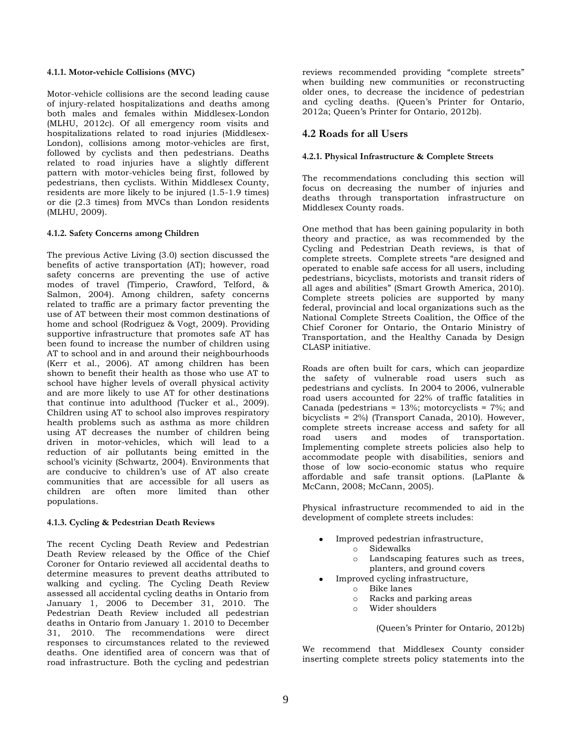#### **4.1.1. Motor-vehicle Collisions (MVC)**

Motor-vehicle collisions are the second leading cause of injury-related hospitalizations and deaths among both males and females within Middlesex-London (MLHU, 2012c). Of all emergency room visits and hospitalizations related to road injuries (Middlesex-London), collisions among motor-vehicles are first, followed by cyclists and then pedestrians. Deaths related to road injuries have a slightly different pattern with motor-vehicles being first, followed by pedestrians, then cyclists. Within Middlesex County, residents are more likely to be injured (1.5-1.9 times) or die (2.3 times) from MVCs than London residents (MLHU, 2009).

#### **4.1.2. Safety Concerns among Children**

The previous Active Living (3.0) section discussed the benefits of active transportation (AT); however, road safety concerns are preventing the use of active modes of travel (Timperio, Crawford, Telford, & Salmon, 2004). Among children, safety concerns related to traffic are a primary factor preventing the use of AT between their most common destinations of home and school (Rodriguez & Vogt, 2009). Providing supportive infrastructure that promotes safe AT has been found to increase the number of children using AT to school and in and around their neighbourhoods (Kerr et al., 2006). AT among children has been shown to benefit their health as those who use AT to school have higher levels of overall physical activity and are more likely to use AT for other destinations that continue into adulthood (Tucker et al., 2009). Children using AT to school also improves respiratory health problems such as asthma as more children using AT decreases the number of children being driven in motor-vehicles, which will lead to a reduction of air pollutants being emitted in the school's vicinity (Schwartz, 2004). Environments that are conducive to children's use of AT also create communities that are accessible for all users as children are often more limited than other populations.

#### **4.1.3. Cycling & Pedestrian Death Reviews**

The recent Cycling Death Review and Pedestrian Death Review released by the Office of the Chief Coroner for Ontario reviewed all accidental deaths to determine measures to prevent deaths attributed to walking and cycling. The Cycling Death Review assessed all accidental cycling deaths in Ontario from January 1, 2006 to December 31, 2010. The Pedestrian Death Review included all pedestrian deaths in Ontario from January 1. 2010 to December 31, 2010. The recommendations were direct responses to circumstances related to the reviewed deaths. One identified area of concern was that of road infrastructure. Both the cycling and pedestrian

reviews recommended providing "complete streets" when building new communities or reconstructing older ones, to decrease the incidence of pedestrian and cycling deaths. (Queen's Printer for Ontario, 2012a; Queen's Printer for Ontario, 2012b).

## **4.2 Roads for all Users**

#### **4.2.1. Physical Infrastructure & Complete Streets**

The recommendations concluding this section will focus on decreasing the number of injuries and deaths through transportation infrastructure on Middlesex County roads.

One method that has been gaining popularity in both theory and practice, as was recommended by the Cycling and Pedestrian Death reviews, is that of complete streets. Complete streets "are designed and operated to enable safe access for all users, including pedestrians, bicyclists, motorists and transit riders of all ages and abilities" (Smart Growth America, 2010). Complete streets policies are supported by many federal, provincial and local organizations such as the National Complete Streets Coalition, the Office of the Chief Coroner for Ontario, the Ontario Ministry of Transportation, and the Healthy Canada by Design CLASP initiative.

Roads are often built for cars, which can jeopardize the safety of vulnerable road users such as pedestrians and cyclists. In 2004 to 2006, vulnerable road users accounted for 22% of traffic fatalities in Canada (pedestrians = 13%; motorcyclists = 7%; and bicyclists = 2%) (Transport Canada, 2010). However, complete streets increase access and safety for all road users and modes of transportation. Implementing complete streets policies also help to accommodate people with disabilities, seniors and those of low socio-economic status who require affordable and safe transit options. (LaPlante & McCann, 2008; McCann, 2005).

Physical infrastructure recommended to aid in the development of complete streets includes:

- Improved pedestrian infrastructure, o Sidewalks
	- o Landscaping features such as trees, planters, and ground covers
	- Improved cycling infrastructure,
		- o Bike lanes
		- o Racks and parking areas
		- o Wider shoulders

(Queen's Printer for Ontario, 2012b)

We recommend that Middlesex County consider inserting complete streets policy statements into the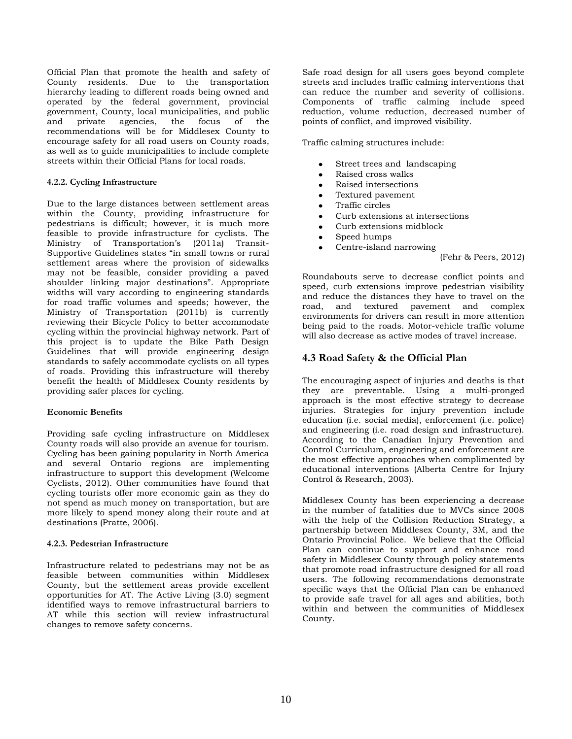Official Plan that promote the health and safety of County residents. Due to the transportation hierarchy leading to different roads being owned and operated by the federal government, provincial government, County, local municipalities, and public and private agencies, the focus of the recommendations will be for Middlesex County to encourage safety for all road users on County roads, as well as to guide municipalities to include complete streets within their Official Plans for local roads.

#### **4.2.2. Cycling Infrastructure**

Due to the large distances between settlement areas within the County, providing infrastructure for pedestrians is difficult; however, it is much more feasible to provide infrastructure for cyclists. The Ministry of Transportation's (2011a) Transit-Supportive Guidelines states "in small towns or rural settlement areas where the provision of sidewalks may not be feasible, consider providing a paved shoulder linking major destinations". Appropriate widths will vary according to engineering standards for road traffic volumes and speeds; however, the Ministry of Transportation (2011b) is currently reviewing their Bicycle Policy to better accommodate cycling within the provincial highway network. Part of this project is to update the Bike Path Design Guidelines that will provide engineering design standards to safely accommodate cyclists on all types of roads. Providing this infrastructure will thereby benefit the health of Middlesex County residents by providing safer places for cycling.

#### **Economic Benefits**

Providing safe cycling infrastructure on Middlesex County roads will also provide an avenue for tourism. Cycling has been gaining popularity in North America and several Ontario regions are implementing infrastructure to support this development (Welcome Cyclists, 2012). Other communities have found that cycling tourists offer more economic gain as they do not spend as much money on transportation, but are more likely to spend money along their route and at destinations (Pratte, 2006).

#### **4.2.3. Pedestrian Infrastructure**

Infrastructure related to pedestrians may not be as feasible between communities within Middlesex County, but the settlement areas provide excellent opportunities for AT. The Active Living (3.0) segment identified ways to remove infrastructural barriers to AT while this section will review infrastructural changes to remove safety concerns.

Safe road design for all users goes beyond complete streets and includes traffic calming interventions that can reduce the number and severity of collisions. Components of traffic calming include speed reduction, volume reduction, decreased number of points of conflict, and improved visibility.

Traffic calming structures include:

- Street trees and landscaping
- Raised cross walks
- Raised intersections
- Textured pavement
- Traffic circles
- Curb extensions at intersections
- Curb extensions midblock
- Speed humps
- Centre-island narrowing
	- (Fehr & Peers, 2012)

Roundabouts serve to decrease conflict points and speed, curb extensions improve pedestrian visibility and reduce the distances they have to travel on the road, and textured pavement and complex environments for drivers can result in more attention being paid to the roads. Motor-vehicle traffic volume will also decrease as active modes of travel increase.

## **4.3 Road Safety & the Official Plan**

The encouraging aspect of injuries and deaths is that they are preventable. Using a multi-pronged approach is the most effective strategy to decrease injuries. Strategies for injury prevention include education (i.e. social media), enforcement (i.e. police) and engineering (i.e. road design and infrastructure). According to the Canadian Injury Prevention and Control Curriculum, engineering and enforcement are the most effective approaches when complimented by educational interventions (Alberta Centre for Injury Control & Research, 2003).

Middlesex County has been experiencing a decrease in the number of fatalities due to MVCs since 2008 with the help of the Collision Reduction Strategy, a partnership between Middlesex County, 3M, and the Ontario Provincial Police. We believe that the Official Plan can continue to support and enhance road safety in Middlesex County through policy statements that promote road infrastructure designed for all road users. The following recommendations demonstrate specific ways that the Official Plan can be enhanced to provide safe travel for all ages and abilities, both within and between the communities of Middlesex County.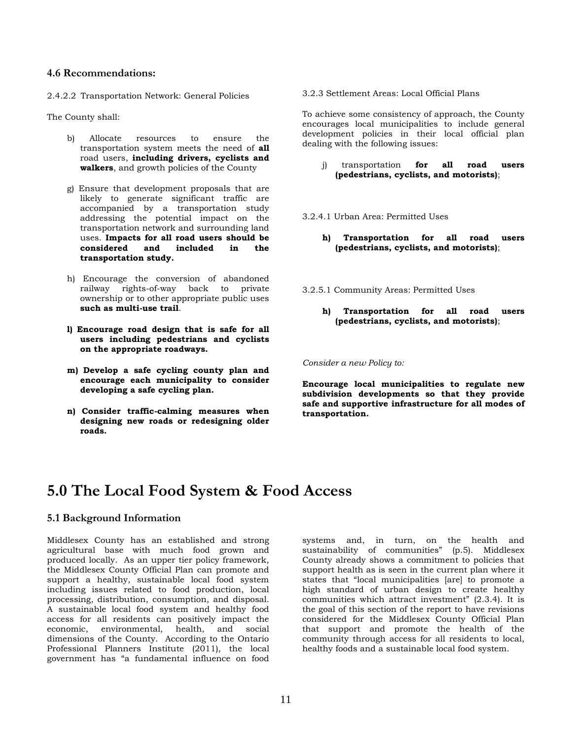#### **4.6 Recommendations:**

2.4.2.2 Transportation Network: General Policies

The County shall:

- b) Allocate resources to ensure the transportation system meets the need of **all** road users, **including drivers, cyclists and walkers**, and growth policies of the County
- g) Ensure that development proposals that are likely to generate significant traffic are accompanied by a transportation study addressing the potential impact on the transportation network and surrounding land uses. **Impacts for all road users should be considered and included in the transportation study.**
- h) Encourage the conversion of abandoned railway rights-of-way back to private ownership or to other appropriate public uses **such as multi-use trail**.
- **l) Encourage road design that is safe for all users including pedestrians and cyclists on the appropriate roadways.**
- **m) Develop a safe cycling county plan and encourage each municipality to consider developing a safe cycling plan.**
- **n) Consider traffic-calming measures when designing new roads or redesigning older roads.**

3.2.3 Settlement Areas: Local Official Plans

To achieve some consistency of approach, the County encourages local municipalities to include general development policies in their local official plan dealing with the following issues:

- j) transportation **for all road users (pedestrians, cyclists, and motorists)**;
- 3.2.4.1 Urban Area: Permitted Uses
	- **h) Transportation for all road users (pedestrians, cyclists, and motorists)**;
- 3.2.5.1 Community Areas: Permitted Uses
	- **h) Transportation for all road users (pedestrians, cyclists, and motorists)**;

*Consider a new Policy to:*

**Encourage local municipalities to regulate new subdivision developments so that they provide safe and supportive infrastructure for all modes of transportation.** 

## **5.0 The Local Food System & Food Access**

## **5.1 Background Information**

Middlesex County has an established and strong agricultural base with much food grown and produced locally. As an upper tier policy framework, the Middlesex County Official Plan can promote and support a healthy, sustainable local food system including issues related to food production, local processing, distribution, consumption, and disposal. A sustainable local food system and healthy food access for all residents can positively impact the economic, environmental, health, and social dimensions of the County. According to the Ontario Professional Planners Institute (2011), the local government has "a fundamental influence on food

systems and, in turn, on the health and sustainability of communities" (p.5). Middlesex County already shows a commitment to policies that support health as is seen in the current plan where it states that "local municipalities [are] to promote a high standard of urban design to create healthy communities which attract investment" (2.3.4). It is the goal of this section of the report to have revisions considered for the Middlesex County Official Plan that support and promote the health of the community through access for all residents to local, healthy foods and a sustainable local food system.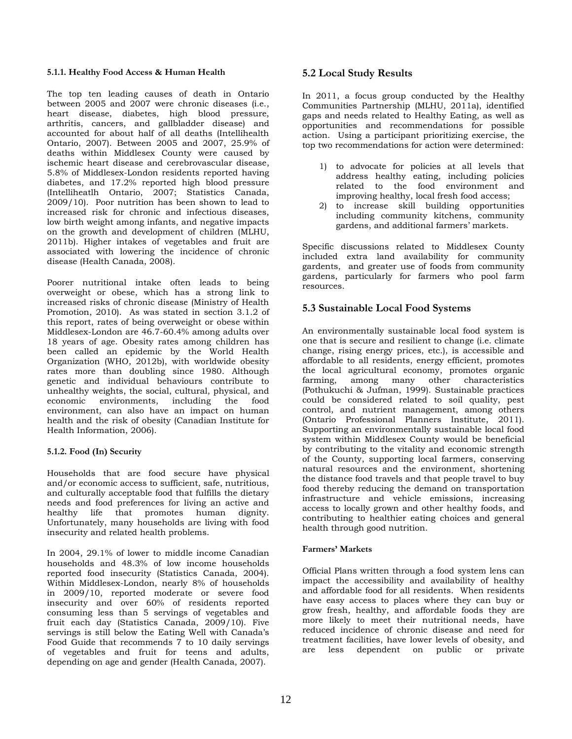#### **5.1.1. Healthy Food Access & Human Health**

The top ten leading causes of death in Ontario between 2005 and 2007 were chronic diseases (i.e., heart disease, diabetes, high blood pressure, arthritis, cancers, and gallbladder disease) and accounted for about half of all deaths (Intellihealth Ontario, 2007). Between 2005 and 2007, 25.9% of deaths within Middlesex County were caused by ischemic heart disease and cerebrovascular disease, 5.8% of Middlesex-London residents reported having diabetes, and 17.2% reported high blood pressure (Intelliheatlh Ontario, 2007; Statistics Canada, 2009/10). Poor nutrition has been shown to lead to increased risk for chronic and infectious diseases, low birth weight among infants, and negative impacts on the growth and development of children (MLHU, 2011b). Higher intakes of vegetables and fruit are associated with lowering the incidence of chronic disease (Health Canada, 2008).

Poorer nutritional intake often leads to being overweight or obese, which has a strong link to increased risks of chronic disease (Ministry of Health Promotion, 2010). As was stated in section 3.1.2 of this report, rates of being overweight or obese within Middlesex-London are 46.7-60.4% among adults over 18 years of age. Obesity rates among children has been called an epidemic by the World Health Organization (WHO, 2012b), with worldwide obesity rates more than doubling since 1980. Although genetic and individual behaviours contribute to unhealthy weights, the social, cultural, physical, and<br>economic environments, including the food including the food environment, can also have an impact on human health and the risk of obesity (Canadian Institute for Health Information, 2006).

### **5.1.2. Food (In) Security**

Households that are food secure have physical and/or economic access to sufficient, safe, nutritious, and culturally acceptable food that fulfills the dietary needs and food preferences for living an active and healthy life that promotes human dignity. Unfortunately, many households are living with food insecurity and related health problems.

In 2004, 29.1% of lower to middle income Canadian households and 48.3% of low income households reported food insecurity (Statistics Canada, 2004). Within Middlesex-London, nearly 8% of households in 2009/10, reported moderate or severe food insecurity and over 60% of residents reported consuming less than 5 servings of vegetables and fruit each day (Statistics Canada, 2009/10). Five servings is still below the Eating Well with Canada's Food Guide that recommends 7 to 10 daily servings of vegetables and fruit for teens and adults, depending on age and gender (Health Canada, 2007).

### **5.2 Local Study Results**

In 2011, a focus group conducted by the Healthy Communities Partnership (MLHU, 2011a), identified gaps and needs related to Healthy Eating, as well as opportunities and recommendations for possible action. Using a participant prioritizing exercise, the top two recommendations for action were determined:

- 1) to advocate for policies at all levels that address healthy eating, including policies related to the food environment and improving healthy, local fresh food access;
- 2) to increase skill building opportunities including community kitchens, community gardens, and additional farmers' markets.

Specific discussions related to Middlesex County included extra land availability for community gardents, and greater use of foods from community gardens, particularly for farmers who pool farm resources.

## **5.3 Sustainable Local Food Systems**

An environmentally sustainable local food system is one that is secure and resilient to change (i.e. climate change, rising energy prices, etc.), is accessible and affordable to all residents, energy efficient, promotes the local agricultural economy, promotes organic farming, among many other characteristics (Pothukuchi & Jufman, 1999). Sustainable practices could be considered related to soil quality, pest control, and nutrient management, among others (Ontario Professional Planners Institute, 2011). Supporting an environmentally sustainable local food system within Middlesex County would be beneficial by contributing to the vitality and economic strength of the County, supporting local farmers, conserving natural resources and the environment, shortening the distance food travels and that people travel to buy food thereby reducing the demand on transportation infrastructure and vehicle emissions, increasing access to locally grown and other healthy foods, and contributing to healthier eating choices and general health through good nutrition.

### **Farmers' Markets**

Official Plans written through a food system lens can impact the accessibility and availability of healthy and affordable food for all residents. When residents have easy access to places where they can buy or grow fresh, healthy, and affordable foods they are more likely to meet their nutritional needs, have reduced incidence of chronic disease and need for treatment facilities, have lower levels of obesity, and are less dependent on public or private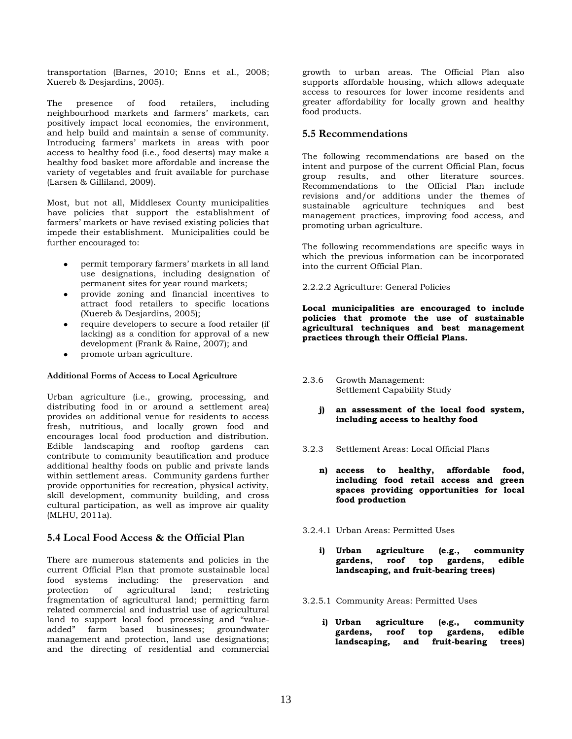transportation (Barnes, 2010; Enns et al., 2008; Xuereb & Desjardins, 2005).

The presence of food retailers, including neighbourhood markets and farmers' markets, can positively impact local economies, the environment, and help build and maintain a sense of community. Introducing farmers' markets in areas with poor access to healthy food (i.e., food deserts) may make a healthy food basket more affordable and increase the variety of vegetables and fruit available for purchase (Larsen & Gilliland, 2009).

Most, but not all, Middlesex County municipalities have policies that support the establishment of farmers' markets or have revised existing policies that impede their establishment. Municipalities could be further encouraged to:

- permit temporary farmers' markets in all land use designations, including designation of permanent sites for year round markets;
- provide zoning and financial incentives to attract food retailers to specific locations (Xuereb & Desjardins, 2005);
- require developers to secure a food retailer (if lacking) as a condition for approval of a new development (Frank & Raine, 2007); and
- promote urban agriculture.

#### **Additional Forms of Access to Local Agriculture**

Urban agriculture (i.e., growing, processing, and distributing food in or around a settlement area) provides an additional venue for residents to access fresh, nutritious, and locally grown food and encourages local food production and distribution. Edible landscaping and rooftop gardens can contribute to community beautification and produce additional healthy foods on public and private lands within settlement areas. Community gardens further provide opportunities for recreation, physical activity, skill development, community building, and cross cultural participation, as well as improve air quality (MLHU, 2011a).

### **5.4 Local Food Access & the Official Plan**

There are numerous statements and policies in the current Official Plan that promote sustainable local food systems including: the preservation and protection of agricultural land; restricting fragmentation of agricultural land; permitting farm related commercial and industrial use of agricultural land to support local food processing and "valueadded" farm based businesses; groundwater management and protection, land use designations; and the directing of residential and commercial

growth to urban areas. The Official Plan also supports affordable housing, which allows adequate access to resources for lower income residents and greater affordability for locally grown and healthy food products.

### **5.5 Recommendations**

The following recommendations are based on the intent and purpose of the current Official Plan, focus group results, and other literature sources. Recommendations to the Official Plan include revisions and/or additions under the themes of sustainable agriculture techniques and best management practices, improving food access, and promoting urban agriculture.

The following recommendations are specific ways in which the previous information can be incorporated into the current Official Plan.

2.2.2.2 Agriculture: General Policies

**Local municipalities are encouraged to include policies that promote the use of sustainable agricultural techniques and best management practices through their Official Plans.**

- 2.3.6 Growth Management: Settlement Capability Study
	- **j) an assessment of the local food system, including access to healthy food**
- 3.2.3 Settlement Areas: Local Official Plans
	- **n) access to healthy, affordable food, including food retail access and green spaces providing opportunities for local food production**
- 3.2.4.1 Urban Areas: Permitted Uses
	- **i) Urban agriculture (e.g., community gardens, roof top gardens, edible landscaping, and fruit-bearing trees)**
- 3.2.5.1 Community Areas: Permitted Uses
	- **i) Urban agriculture (e.g., community gardens, roof top gardens, edible landscaping, and fruit-bearing trees)**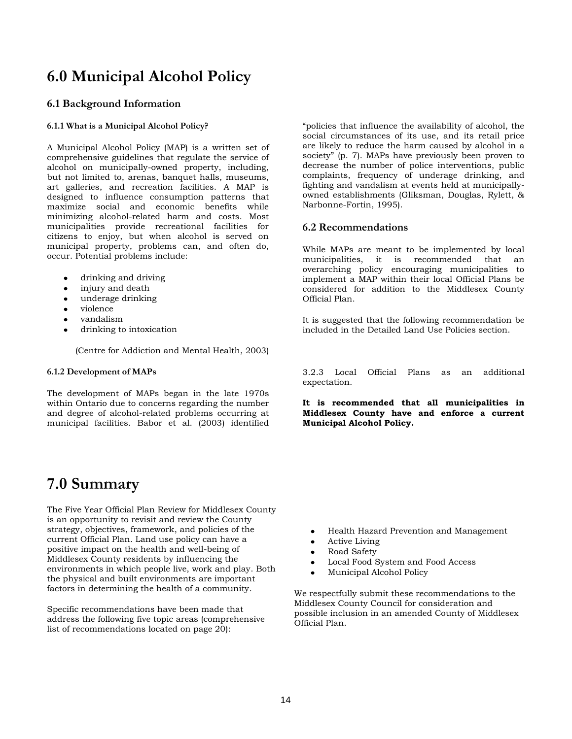## **6.0 Municipal Alcohol Policy**

### **6.1 Background Information**

#### **6.1.1 What is a Municipal Alcohol Policy?**

A Municipal Alcohol Policy (MAP) is a written set of comprehensive guidelines that regulate the service of alcohol on municipally-owned property, including, but not limited to, arenas, banquet halls, museums, art galleries, and recreation facilities. A MAP is designed to influence consumption patterns that maximize social and economic benefits while minimizing alcohol-related harm and costs. Most municipalities provide recreational facilities for citizens to enjoy, but when alcohol is served on municipal property, problems can, and often do, occur. Potential problems include:

- drinking and driving  $\bullet$
- injury and death
- underage drinking
- violence
- vandalism
- drinking to intoxication

(Centre for Addiction and Mental Health, 2003)

#### **6.1.2 Development of MAPs**

The development of MAPs began in the late 1970s within Ontario due to concerns regarding the number and degree of alcohol-related problems occurring at municipal facilities. Babor et al. (2003) identified

## **7.0 Summary**

The Five Year Official Plan Review for Middlesex County is an opportunity to revisit and review the County strategy, objectives, framework, and policies of the current Official Plan. Land use policy can have a positive impact on the health and well-being of Middlesex County residents by influencing the environments in which people live, work and play. Both the physical and built environments are important factors in determining the health of a community.

Specific recommendations have been made that address the following five topic areas (comprehensive list of recommendations located on page 20):

"policies that influence the availability of alcohol, the social circumstances of its use, and its retail price are likely to reduce the harm caused by alcohol in a society" (p. 7). MAPs have previously been proven to decrease the number of police interventions, public complaints, frequency of underage drinking, and fighting and vandalism at events held at municipallyowned establishments (Gliksman, Douglas, Rylett, & Narbonne-Fortin, 1995).

#### **6.2 Recommendations**

While MAPs are meant to be implemented by local municipalities, it is recommended that an overarching policy encouraging municipalities to implement a MAP within their local Official Plans be considered for addition to the Middlesex County Official Plan.

It is suggested that the following recommendation be included in the Detailed Land Use Policies section.

3.2.3 Local Official Plans as an additional expectation.

**It is recommended that all municipalities in Middlesex County have and enforce a current Municipal Alcohol Policy.**

- Health Hazard Prevention and Management
- Active Living
- Road Safety
- Local Food System and Food Access
- Municipal Alcohol Policy

We respectfully submit these recommendations to the Middlesex County Council for consideration and possible inclusion in an amended County of Middlesex Official Plan.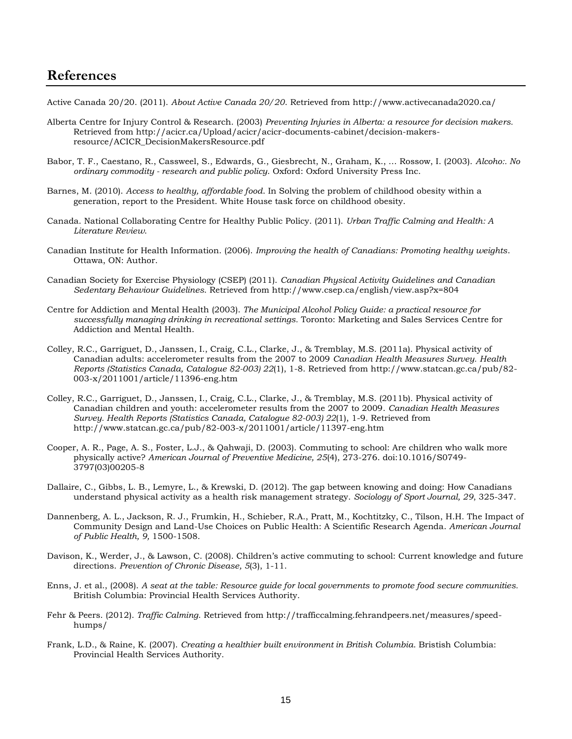## **References**

Active Canada 20/20. (2011). *About Active Canada 20/20*. Retrieved from http://www.activecanada2020.ca/

- Alberta Centre for Injury Control & Research. (2003) *Preventing Injuries in Alberta: a resource for decision makers.*  Retrieved from http://acicr.ca/Upload/acicr/acicr-documents-cabinet/decision-makersresource/ACICR\_DecisionMakersResource.pdf
- Babor, T. F., Caestano, R., Cassweel, S., Edwards, G., Giesbrecht, N., Graham, K., … Rossow, I. (2003). *Alcoho:. No ordinary commodity - research and public policy*. Oxford: Oxford University Press Inc.
- Barnes, M. (2010). *Access to healthy, affordable food*. In Solving the problem of childhood obesity within a generation, report to the President. White House task force on childhood obesity.
- Canada. National Collaborating Centre for Healthy Public Policy. (2011). *Urban Traffic Calming and Health: A Literature Review*.
- Canadian Institute for Health Information. (2006). *Improving the health of Canadians: Promoting healthy weights*. Ottawa, ON: Author.
- Canadian Society for Exercise Physiology (CSEP) (2011). *Canadian Physical Activity Guidelines and Canadian Sedentary Behaviour Guidelines*. Retrieved from http://www.csep.ca/english/view.asp?x=804
- Centre for Addiction and Mental Health (2003). *The Municipal Alcohol Policy Guide: a practical resource for successfully managing drinking in recreational settings.* Toronto: Marketing and Sales Services Centre for Addiction and Mental Health.
- Colley, R.C., Garriguet, D., Janssen, I., Craig, C.L., Clarke, J., & Tremblay, M.S. (2011a). Physical activity of Canadian adults: accelerometer results from the 2007 to 2009 *Canadian Health Measures Survey. Health Reports (Statistics Canada, Catalogue 82-003) 22*(1), 1-8. Retrieved from [http://www.statcan.gc.ca/pub/82-](http://www.statcan.gc.ca/pub/82-003-x/2011001/article/11396-eng.htm) [003-x/2011001/article/11396-eng.htm](http://www.statcan.gc.ca/pub/82-003-x/2011001/article/11396-eng.htm)
- Colley, R.C., Garriguet, D., Janssen, I., Craig, C.L., Clarke, J., & Tremblay, M.S. (2011b). Physical activity of Canadian children and youth: accelerometer results from the 2007 to 2009. *Canadian Health Measures Survey. Health Reports (Statistics Canada, Catalogue 82-003) 22*(1), 1-9. Retrieved from <http://www.statcan.gc.ca/pub/82-003-x/2011001/article/11397-eng.htm>
- Cooper, A. R., Page, A. S., Foster, L.J., & Qahwaji, D. (2003). Commuting to school: Are children who walk more physically active? *American Journal of Preventive Medicine, 25*(4), 273-276. doi:10.1016/S0749- 3797(03)00205-8
- Dallaire, C., Gibbs, L. B., Lemyre, L., & Krewski, D. (2012). The gap between knowing and doing: How Canadians understand physical activity as a health risk management strategy. *Sociology of Sport Journal, 29*, 325-347.
- [Dannenberg,](http://www.ncbi.nlm.nih.gov/sites/entrez?cmd=search&db=PubMed&term=%20Dannenberg%20AL%5Bauth%5D) A. L., [Jackson,](http://www.ncbi.nlm.nih.gov/sites/entrez?cmd=search&db=PubMed&term=%20Jackson%20RJ%5Bauth%5D) R. J., [Frumkin,](http://www.ncbi.nlm.nih.gov/sites/entrez?cmd=search&db=PubMed&term=%20Frumkin%20H%5Bauth%5D) H., [Schieber,](http://www.ncbi.nlm.nih.gov/sites/entrez?cmd=search&db=PubMed&term=%20Schieber%20RA%5Bauth%5D) R.A., [Pratt,](http://www.ncbi.nlm.nih.gov/sites/entrez?cmd=search&db=PubMed&term=%20Pratt%20M%5Bauth%5D) M., [Kochtitzky,](http://www.ncbi.nlm.nih.gov/sites/entrez?cmd=search&db=PubMed&term=%20Kochtitzky%20C%5Bauth%5D) C., Tilson, H.H. The Impact of Community Design and Land-Use Choices on Public Health: A Scientific Research Agenda. *American Journal of Public Health, 9,* 1500-1508.
- Davison, K., Werder, J., & Lawson, C. (2008). Children's active commuting to school: Current knowledge and future directions. *Prevention of Chronic Disease, 5*(3), 1-11.
- Enns, J. et al., (2008). *A seat at the table: Resource guide for local governments to promote food secure communities.* British Columbia: Provincial Health Services Authority.
- Fehr & Peers. (2012). *Traffic Calming*. Retrieved from http://trafficcalming.fehrandpeers.net/measures/speedhumps/
- Frank, L.D., & Raine, K. (2007). *Creating a healthier built environment in British Columbia*. Bristish Columbia: Provincial Health Services Authority.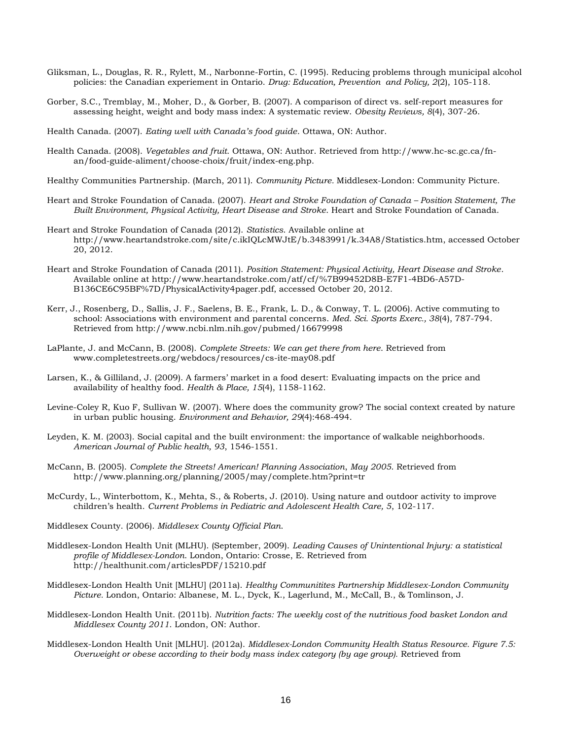- Gliksman, L., Douglas, R. R., Rylett, M., Narbonne-Fortin, C. (1995). Reducing problems through municipal alcohol policies: the Canadian experiement in Ontario. *Drug: Education, Prevention and Policy, 2*(2), 105-118.
- Gorber, S.C., Tremblay, M., Moher, D., & Gorber, B. (2007). A comparison of direct vs. self-report measures for assessing height, weight and body mass index: A systematic review. *Obesity Reviews, 8*(4), 307-26.
- Health Canada. (2007). *Eating well with Canada's food guide*. Ottawa, ON: Author.
- Health Canada. (2008). *Vegetables and fruit*. Ottawa, ON: Author. Retrieved from [http://www.hc-sc.gc.ca/fn](http://www.hc-sc.gc.ca/fn-an/food-guide-aliment/choose-choix/fruit/index-eng.php)[an/food-guide-aliment/choose-choix/fruit/index-eng.php.](http://www.hc-sc.gc.ca/fn-an/food-guide-aliment/choose-choix/fruit/index-eng.php)
- Healthy Communities Partnership. (March, 2011). *Community Picture.* Middlesex-London: Community Picture.
- Heart and Stroke Foundation of Canada. (2007). *Heart and Stroke Foundation of Canada – Position Statement, The Built Environment, Physical Activity, Heart Disease and Stroke*. Heart and Stroke Foundation of Canada.
- Heart and Stroke Foundation of Canada (2012). *Statistics*. Available online at http://www.heartandstroke.com/site/c.ikIQLcMWJtE/b.3483991/k.34A8/Statistics.htm, accessed October 20, 2012.
- Heart and Stroke Foundation of Canada (2011). *Position Statement: Physical Activity, Heart Disease and Stroke*. Available online at http://www.heartandstroke.com/atf/cf/%7B99452D8B-E7F1-4BD6-A57D-B136CE6C95BF%7D/PhysicalActivity4pager.pdf, accessed October 20, 2012.
- Kerr, J., Rosenberg, D., Sallis, J. F., Saelens, B. E., Frank, L. D., & Conway, T. L. (2006). Active commuting to school: Associations with environment and parental concerns. *Med. Sci. Sports Exerc., 38*(4), 787-794. Retrieved from http://www.ncbi.nlm.nih.gov/pubmed/16679998
- LaPlante, J. and McCann, B. (2008). *Complete Streets: We can get there from here*. Retrieved from [www.completestreets.org/webdocs/resources/cs-ite-may08.pdf](http://www.completestreets.org/webdocs/resources/cs-ite-may08.pdf)
- Larsen, K., & Gilliland, J. (2009). A farmers' market in a food desert: Evaluating impacts on the price and availability of healthy food. *Health & Place, 15*(4), 1158-1162.
- Levine-Coley R, Kuo F, Sullivan W. (2007). Where does the community grow? The social context created by nature in urban public housing. *Environment and Behavior, 29*(4):468-494.
- Leyden, K. M. (2003). Social capital and the built environment: the importance of walkable neighborhoods. *American Journal of Public health, 93*, 1546-1551.
- McCann, B. (2005). *Complete the Streets! American! Planning Association*, *May 2005*. Retrieved from <http://www.planning.org/planning/2005/may/complete.htm?print=tr>
- McCurdy, L., Winterbottom, K., Mehta, S., & Roberts, J. (2010). Using nature and outdoor activity to improve children's health. *Current Problems in Pediatric and Adolescent Health Care, 5*, 102-117.
- Middlesex County. (2006). *Middlesex County Official Plan*.
- Middlesex-London Health Unit (MLHU). (September, 2009). *Leading Causes of Unintentional Injury: a statistical profile of Middlesex-London*. London, Ontario: Crosse, E. Retrieved from <http://healthunit.com/articlesPDF/15210.pdf>
- Middlesex-London Health Unit [MLHU] (2011a). *Healthy Communitites Partnership Middlesex-London Community Picture.* London, Ontario: Albanese, M. L., Dyck, K., Lagerlund, M., McCall, B., & Tomlinson, J.
- Middlesex-London Health Unit. (2011b). *Nutrition facts: The weekly cost of the nutritious food basket London and Middlesex County 2011*. London, ON: Author.
- Middlesex-London Health Unit [MLHU]. (2012a). *Middlesex-London Community Health Status Resource. Figure 7.5: Overweight or obese according to their body mass index category (by age group).* Retrieved from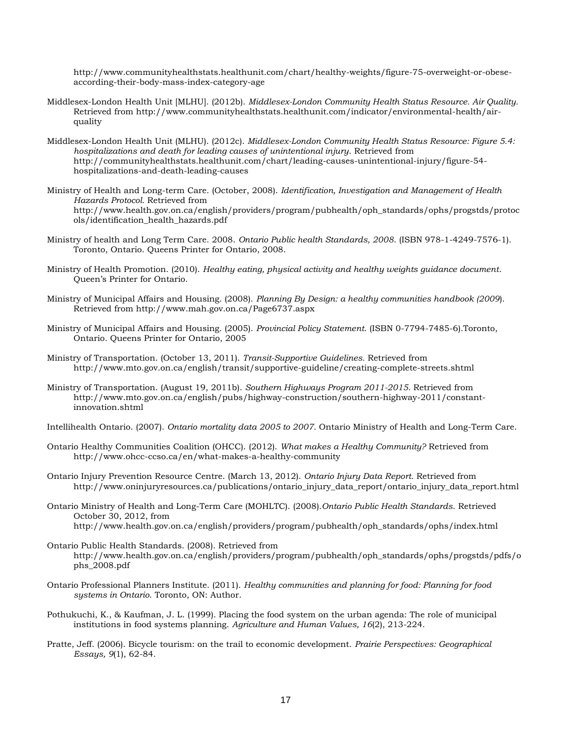[http://www.communityhealthstats.healthunit.com/chart/healthy-weights/figure-75-overweight-or-obese](http://www.communityhealthstats.healthunit.com/chart/healthy-weights/figure-75-overweight-or-obese-according-their-body-mass-index-category-age)[according-their-body-mass-index-category-age](http://www.communityhealthstats.healthunit.com/chart/healthy-weights/figure-75-overweight-or-obese-according-their-body-mass-index-category-age)

- Middlesex-London Health Unit [MLHU]. (2012b). *Middlesex-London Community Health Status Resource. Air Quality.* Retrieved from [http://www.communityhealthstats.healthunit.com/indicator/environmental-health/air](http://www.communityhealthstats.healthunit.com/indicator/environmental-health/air-quality)[quality](http://www.communityhealthstats.healthunit.com/indicator/environmental-health/air-quality)
- Middlesex-London Health Unit (MLHU). (2012c). *Middlesex-London Community Health Status Resource: Figure 5.4: hospitalizations and death for leading causes of unintentional injury*. Retrieved from http://communityhealthstats.healthunit.com/chart/leading-causes-unintentional-injury/figure-54 hospitalizations-and-death-leading-causes
- Ministry of Health and Long-term Care. (October, 2008). *Identification, Investigation and Management of Health Hazards Protocol.* Retrieved from http://www.health.gov.on.ca/english/providers/program/pubhealth/oph\_standards/ophs/progstds/protoc ols/identification\_health\_hazards.pdf
- Ministry of health and Long Term Care. 2008. *Ontario Public health Standards, 2008*. (ISBN 978-1-4249-7576-1). Toronto, Ontario. Queens Printer for Ontario, 2008.
- Ministry of Health Promotion. (2010). *Healthy eating, physical activity and healthy weights guidance document*. Queen's Printer for Ontario.
- Ministry of Municipal Affairs and Housing. (2008). *Planning By Design: a healthy communities handbook (2009*). Retrieved from<http://www.mah.gov.on.ca/Page6737.aspx>
- Ministry of Municipal Affairs and Housing. (2005). *Provincial Policy Statement*. (ISBN 0-7794-7485-6).Toronto, Ontario. Queens Printer for Ontario, 2005
- Ministry of Transportation. (October 13, 2011). *Transit-Supportive Guidelines.* Retrieved from <http://www.mto.gov.on.ca/english/transit/supportive-guideline/creating-complete-streets.shtml>
- Ministry of Transportation. (August 19, 2011b). *Southern Highways Program 2011-2015.* Retrieved from http://www.mto.gov.on.ca/english/pubs/highway-construction/southern-highway-2011/constantinnovation.shtml
- Intellihealth Ontario. (2007). *Ontario mortality data 2005 to 2007*. Ontario Ministry of Health and Long-Term Care.
- Ontario Healthy Communities Coalition (OHCC). (2012). *What makes a Healthy Community?* Retrieved from <http://www.ohcc-ccso.ca/en/what-makes-a-healthy-community>
- Ontario Injury Prevention Resource Centre. (March 13, 2012). *Ontario Injury Data Report*. Retrieved from http://www.oninjuryresources.ca/publications/ontario\_injury\_data\_report/ontario\_injury\_data\_report.html
- Ontario Ministry of Health and Long-Term Care (MOHLTC). (2008).*Ontario Public Health Standards*. Retrieved October 30, 2012, from [http://www.health.gov.on.ca/english/providers/program/pubhealth/oph\\_standards/ophs/index.html](http://www.health.gov.on.ca/english/providers/program/pubhealth/oph_standards/ophs/index.html)
- Ontario Public Health Standards. (2008). Retrieved from http://www.health.gov.on.ca/english/providers/program/pubhealth/oph\_standards/ophs/progstds/pdfs/o phs\_2008.pdf
- Ontario Professional Planners Institute. (2011). *Healthy communities and planning for food: Planning for food systems in Ontario*. Toronto, ON: Author.
- Pothukuchi, K., & Kaufman, J. L. (1999). Placing the food system on the urban agenda: The role of municipal institutions in food systems planning. *Agriculture and Human Values, 16*(2), 213-224.
- Pratte, Jeff. (2006). Bicycle tourism: on the trail to economic development. *Prairie Perspectives: Geographical Essays, 9*(1), 62-84.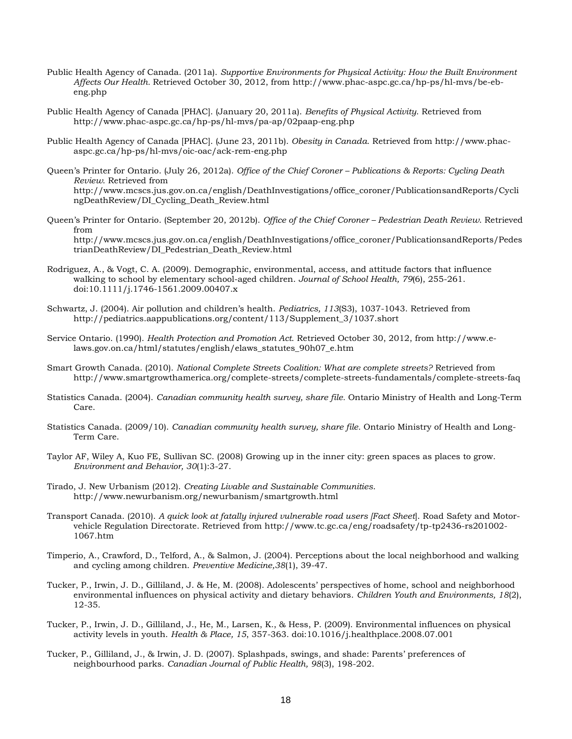- Public Health Agency of Canada. (2011a). *Supportive Environments for Physical Activity: How the Built Environment Affects Our Health.* Retrieved October 30, 2012, from [http://www.phac-aspc.gc.ca/hp-ps/hl-mvs/be-eb](http://www.phac-aspc.gc.ca/hp-ps/hl-mvs/be-eb-eng.php)[eng.php](http://www.phac-aspc.gc.ca/hp-ps/hl-mvs/be-eb-eng.php)
- Public Health Agency of Canada [PHAC]. (January 20, 2011a). *Benefits of Physical Activity*. Retrieved from <http://www.phac-aspc.gc.ca/hp-ps/hl-mvs/pa-ap/02paap-eng.php>
- Public Health Agency of Canada [PHAC]. (June 23, 2011b). *Obesity in Canada*. Retrieved from http://www.phacaspc.gc.ca/hp-ps/hl-mvs/oic-oac/ack-rem-eng.php
- Queen's Printer for Ontario. (July 26, 2012a). *Office of the Chief Coroner – Publications & Reports: Cycling Death Review*. Retrieved from [http://www.mcscs.jus.gov.on.ca/english/DeathInvestigations/office\\_coroner/PublicationsandReports/Cycli](http://www.mcscs.jus.gov.on.ca/english/DeathInvestigations/office_coroner/PublicationsandReports/CyclingDeathReview/DI_Cycling_Death_Review.html) [ngDeathReview/DI\\_Cycling\\_Death\\_Review.html](http://www.mcscs.jus.gov.on.ca/english/DeathInvestigations/office_coroner/PublicationsandReports/CyclingDeathReview/DI_Cycling_Death_Review.html)
- Queen's Printer for Ontario. (September 20, 2012b). *Office of the Chief Coroner – Pedestrian Death Review*. Retrieved from http://www.mcscs.jus.gov.on.ca/english/DeathInvestigations/office\_coroner/PublicationsandReports/Pedes trianDeathReview/DI\_Pedestrian\_Death\_Review.html
- Rodriguez, A., & Vogt, C. A. (2009). Demographic, environmental, access, and attitude factors that influence walking to school by elementary school-aged children. *Journal of School Health, 79*(6), 255-261. doi:10.1111/j.1746-1561.2009.00407.x
- Schwartz, J. (2004). Air pollution and children's health. *Pediatrics, 113*(S3), 1037-1043. Retrieved from http://pediatrics.aappublications.org/content/113/Supplement\_3/1037.short
- Service Ontario. (1990). *Health Protection and Promotion Act*. Retrieved October 30, 2012, from [http://www.e](http://www.e-laws.gov.on.ca/html/statutes/english/elaws_statutes_90h07_e.htm)[laws.gov.on.ca/html/statutes/english/elaws\\_statutes\\_90h07\\_e.htm](http://www.e-laws.gov.on.ca/html/statutes/english/elaws_statutes_90h07_e.htm)
- Smart Growth Canada. (2010). *National Complete Streets Coalition: What are complete streets?* Retrieved from http://www.smartgrowthamerica.org/complete-streets/complete-streets-fundamentals/complete-streets-faq
- Statistics Canada. (2004). *Canadian community health survey, share file.* Ontario Ministry of Health and Long-Term Care.
- Statistics Canada. (2009/10). *Canadian community health survey, share file.* Ontario Ministry of Health and Long-Term Care.
- Taylor AF, Wiley A, Kuo FE, Sullivan SC. (2008) Growing up in the inner city: green spaces as places to grow. *Environment and Behavior, 30*(1):3-27.
- Tirado, J. New Urbanism (2012). *Creating Livable and Sustainable Communities*. http://www.newurbanism.org/newurbanism/smartgrowth.html
- Transport Canada. (2010). *A quick look at fatally injured vulnerable road users [Fact Sheet*]. Road Safety and Motorvehicle Regulation Directorate. Retrieved from http://www.tc.gc.ca/eng/roadsafety/tp-tp2436-rs201002- 1067.htm
- Timperio, A., Crawford, D., Telford, A., & Salmon, J. (2004). Perceptions about the local neighborhood and walking and cycling among children. *Preventive Medicine,38*(1), 39-47.
- Tucker, P., Irwin, J. D., Gilliland, J. & He, M. (2008). Adolescents' perspectives of home, school and neighborhood environmental influences on physical activity and dietary behaviors. *Children Youth and Environments, 18*(2), 12-35.
- Tucker, P., Irwin, J. D., Gilliland, J., He, M., Larsen, K., & Hess, P. (2009). Environmental influences on physical activity levels in youth. *Health & Place, 15*, 357-363. doi:10.1016/j.healthplace.2008.07.001
- Tucker, P., Gilliland, J., & Irwin, J. D. (2007). Splashpads, swings, and shade: Parents' preferences of neighbourhood parks. *Canadian Journal of Public Health, 98*(3), 198-202.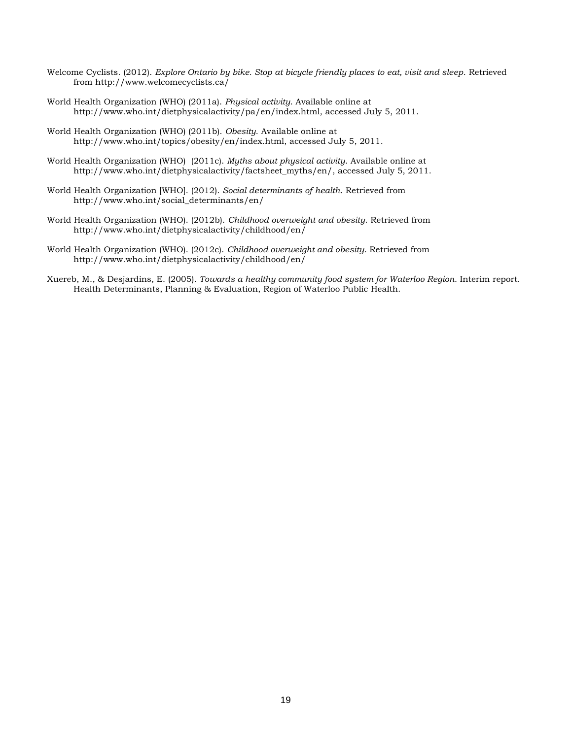- Welcome Cyclists. (2012). *Explore Ontario by bike. Stop at bicycle friendly places to eat, visit and sleep*. Retrieved from http://www.welcomecyclists.ca/
- World Health Organization (WHO) (2011a). *Physical activity*. Available online at http://www.who.int/dietphysicalactivity/pa/en/index.html, accessed July 5, 2011.
- World Health Organization (WHO) (2011b). *Obesity*. Available online at http://www.who.int/topics/obesity/en/index.html, accessed July 5, 2011.
- World Health Organization (WHO) (2011c). *Myths about physical activity*. Available online at [http://www.who.int/dietphysicalactivity/factsheet\\_myths/en/,](http://www.who.int/dietphysicalactivity/factsheet_myths/en/) accessed July 5, 2011.
- World Health Organization [WHO]. (2012). *Social determinants of health*. Retrieved from [http://www.who.int/social\\_determinants/en/](http://www.who.int/social_determinants/en/)
- World Health Organization (WHO). (2012b). *Childhood overweight and obesity*. Retrieved from http://www.who.int/dietphysicalactivity/childhood/en/
- World Health Organization (WHO). (2012c). *Childhood overweight and obesity*. Retrieved from http://www.who.int/dietphysicalactivity/childhood/en/
- Xuereb, M., & Desjardins, E. (2005). *Towards a healthy community food system for Waterloo Region*. Interim report. Health Determinants, Planning & Evaluation, Region of Waterloo Public Health.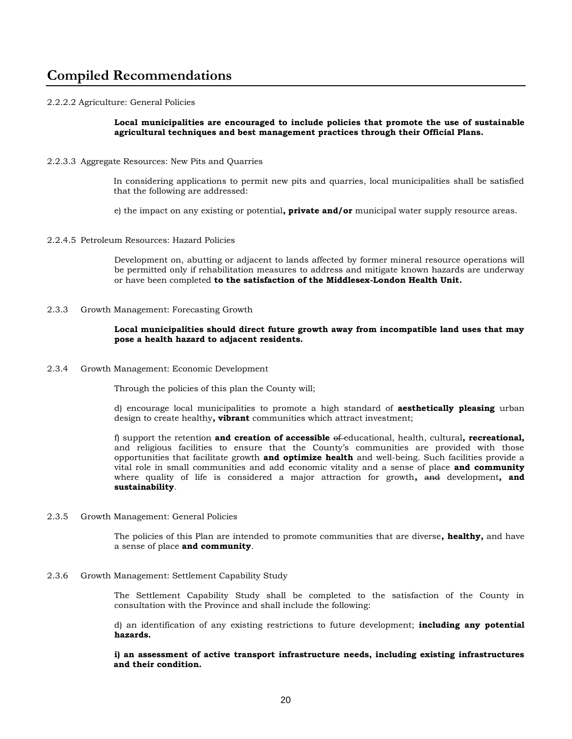## **Compiled Recommendations**

#### 2.2.2.2 Agriculture: General Policies

**Local municipalities are encouraged to include policies that promote the use of sustainable agricultural techniques and best management practices through their Official Plans.**

2.2.3.3 Aggregate Resources: New Pits and Quarries

In considering applications to permit new pits and quarries, local municipalities shall be satisfied that the following are addressed:

e) the impact on any existing or potential**, private and/or** municipal water supply resource areas.

2.2.4.5 Petroleum Resources: Hazard Policies

Development on, abutting or adjacent to lands affected by former mineral resource operations will be permitted only if rehabilitation measures to address and mitigate known hazards are underway or have been completed **to the satisfaction of the Middlesex-London Health Unit.**

2.3.3 Growth Management: Forecasting Growth

#### **Local municipalities should direct future growth away from incompatible land uses that may pose a health hazard to adjacent residents.**

2.3.4 Growth Management: Economic Development

Through the policies of this plan the County will;

d) encourage local municipalities to promote a high standard of **aesthetically pleasing** urban design to create healthy**, vibrant** communities which attract investment;

f) support the retention **and creation of accessible** of educational, health, cultural**, recreational,** and religious facilities to ensure that the County's communities are provided with those opportunities that facilitate growth **and optimize health** and well-being. Such facilities provide a vital role in small communities and add economic vitality and a sense of place **and community**  where quality of life is considered a major attraction for growth**,** and development**, and sustainability**.

2.3.5 Growth Management: General Policies

The policies of this Plan are intended to promote communities that are diverse**, healthy,** and have a sense of place **and community**.

2.3.6 Growth Management: Settlement Capability Study

The Settlement Capability Study shall be completed to the satisfaction of the County in consultation with the Province and shall include the following:

d) an identification of any existing restrictions to future development; **including any potential hazards.**

**i) an assessment of active transport infrastructure needs, including existing infrastructures and their condition.**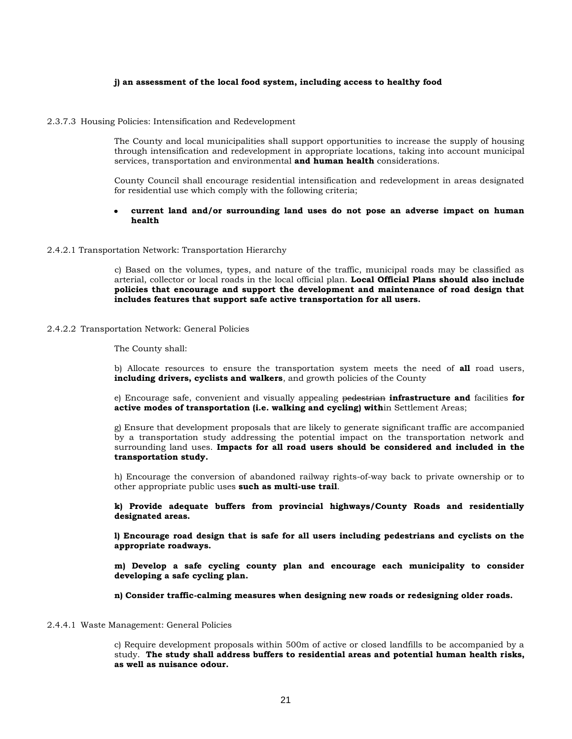#### **j) an assessment of the local food system, including access to healthy food**

2.3.7.3 Housing Policies: Intensification and Redevelopment

The County and local municipalities shall support opportunities to increase the supply of housing through intensification and redevelopment in appropriate locations, taking into account municipal services, transportation and environmental **and human health** considerations.

County Council shall encourage residential intensification and redevelopment in areas designated for residential use which comply with the following criteria;

#### **current land and/or surrounding land uses do not pose an adverse impact on human health**

#### 2.4.2.1 Transportation Network: Transportation Hierarchy

c) Based on the volumes, types, and nature of the traffic, municipal roads may be classified as arterial, collector or local roads in the local official plan. **Local Official Plans should also include policies that encourage and support the development and maintenance of road design that includes features that support safe active transportation for all users.**

2.4.2.2 Transportation Network: General Policies

The County shall:

b) Allocate resources to ensure the transportation system meets the need of **all** road users, **including drivers, cyclists and walkers**, and growth policies of the County

e) Encourage safe, convenient and visually appealing pedestrian **infrastructure and** facilities **for active modes of transportation (i.e. walking and cycling) with**in Settlement Areas;

g) Ensure that development proposals that are likely to generate significant traffic are accompanied by a transportation study addressing the potential impact on the transportation network and surrounding land uses. **Impacts for all road users should be considered and included in the transportation study.** 

h) Encourage the conversion of abandoned railway rights-of-way back to private ownership or to other appropriate public uses **such as multi-use trail**.

**k) Provide adequate buffers from provincial highways/County Roads and residentially designated areas.**

**l) Encourage road design that is safe for all users including pedestrians and cyclists on the appropriate roadways.**

**m) Develop a safe cycling county plan and encourage each municipality to consider developing a safe cycling plan.**

**n) Consider traffic-calming measures when designing new roads or redesigning older roads.**

2.4.4.1 Waste Management: General Policies

c) Require development proposals within 500m of active or closed landfills to be accompanied by a study. **The study shall address buffers to residential areas and potential human health risks, as well as nuisance odour.**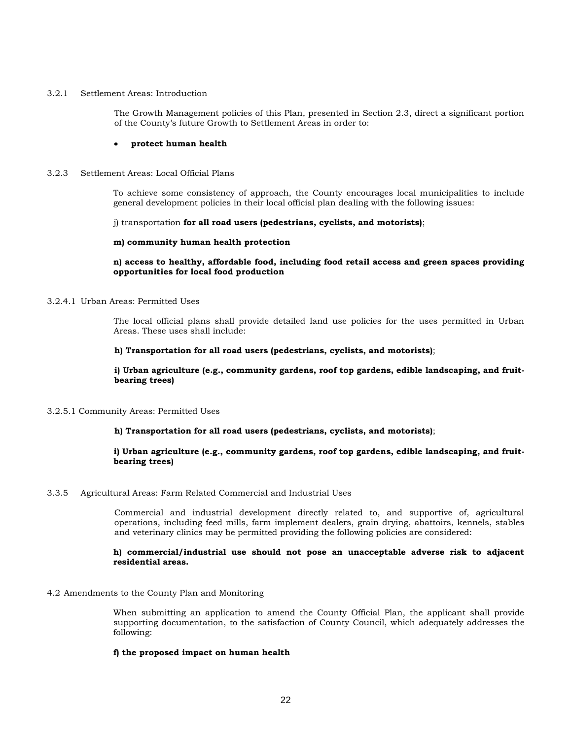#### 3.2.1 Settlement Areas: Introduction

The Growth Management policies of this Plan, presented in Section 2.3, direct a significant portion of the County's future Growth to Settlement Areas in order to:

#### $\bullet$ **protect human health**

#### 3.2.3 Settlement Areas: Local Official Plans

To achieve some consistency of approach, the County encourages local municipalities to include general development policies in their local official plan dealing with the following issues:

j) transportation **for all road users (pedestrians, cyclists, and motorists)**;

#### **m) community human health protection**

#### **n) access to healthy, affordable food, including food retail access and green spaces providing opportunities for local food production**

#### 3.2.4.1 Urban Areas: Permitted Uses

The local official plans shall provide detailed land use policies for the uses permitted in Urban Areas. These uses shall include:

#### **h) Transportation for all road users (pedestrians, cyclists, and motorists)**;

**i) Urban agriculture (e.g., community gardens, roof top gardens, edible landscaping, and fruitbearing trees)**

#### 3.2.5.1 Community Areas: Permitted Uses

#### **h) Transportation for all road users (pedestrians, cyclists, and motorists)**;

#### **i) Urban agriculture (e.g., community gardens, roof top gardens, edible landscaping, and fruitbearing trees)**

#### 3.3.5 Agricultural Areas: Farm Related Commercial and Industrial Uses

Commercial and industrial development directly related to, and supportive of, agricultural operations, including feed mills, farm implement dealers, grain drying, abattoirs, kennels, stables and veterinary clinics may be permitted providing the following policies are considered:

#### **h) commercial/industrial use should not pose an unacceptable adverse risk to adjacent residential areas.**

#### 4.2 Amendments to the County Plan and Monitoring

When submitting an application to amend the County Official Plan, the applicant shall provide supporting documentation, to the satisfaction of County Council, which adequately addresses the following:

#### **f) the proposed impact on human health**